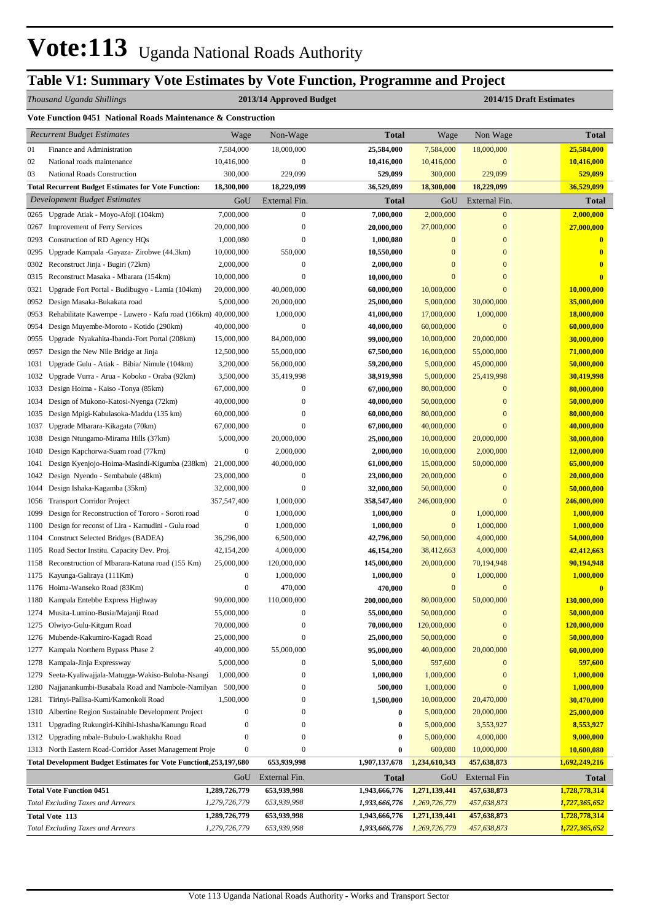## **Table V1: Summary Vote Estimates by Vote Function, Programme and Project**

## *Thousand Uganda Shillings* **2013/14 Approved Budget 2014/15 Draft Estimates**

|              | Vote Function 0451 National Roads Maintenance & Construction                                 |                                      |                                      |                               |                        |                                |                               |  |  |
|--------------|----------------------------------------------------------------------------------------------|--------------------------------------|--------------------------------------|-------------------------------|------------------------|--------------------------------|-------------------------------|--|--|
|              | <b>Recurrent Budget Estimates</b>                                                            | Wage                                 | Non-Wage                             | <b>Total</b>                  | Wage                   | Non Wage                       | <b>Total</b>                  |  |  |
| 01           | Finance and Administration                                                                   | 7,584,000                            | 18,000,000                           | 25,584,000                    | 7,584,000              | 18,000,000                     | 25,584,000                    |  |  |
| 02           | National roads maintenance                                                                   | 10,416,000                           | $\boldsymbol{0}$                     | 10,416,000                    | 10,416,000             | $\boldsymbol{0}$               | 10,416,000                    |  |  |
| 03           | National Roads Construction                                                                  | 300,000                              | 229,099                              | 529,099                       | 300,000                | 229,099                        | 529,099                       |  |  |
|              | <b>Total Recurrent Budget Estimates for Vote Function:</b>                                   | 18,300,000                           | 18,229,099                           | 36,529,099                    | 18,300,000             | 18,229,099                     | 36,529,099                    |  |  |
|              | Development Budget Estimates                                                                 | GoU                                  | External Fin.                        | <b>Total</b>                  | GoU                    | External Fin.                  | <b>Total</b>                  |  |  |
| 0265         | Upgrade Atiak - Moyo-Afoji (104km)                                                           | 7,000,000                            | $\mathbf{0}$                         | 7,000,000                     | 2,000,000              | $\overline{0}$                 | 2,000,000                     |  |  |
| 0267         | <b>Improvement of Ferry Services</b>                                                         | 20,000,000                           | $\boldsymbol{0}$                     | 20,000,000                    | 27,000,000             | $\boldsymbol{0}$               | 27,000,000                    |  |  |
| 0293         | Construction of RD Agency HQs                                                                | 1,000,080                            | $\boldsymbol{0}$                     | 1,000,080                     | $\mathbf{0}$           | $\bf{0}$                       | $\bf{0}$                      |  |  |
| 0295         | Upgrade Kampala - Gayaza- Zirobwe (44.3km)                                                   | 10,000,000                           | 550,000                              | 10,550,000                    | $\mathbf{0}$           | $\overline{0}$                 | 0                             |  |  |
| 0302         | Reconstruct Jinja - Bugiri (72km)                                                            | 2,000,000                            | $\boldsymbol{0}$                     | 2,000,000                     | $\mathbf{0}$           | $\overline{0}$                 | $\bf{0}$                      |  |  |
| 0315         | Reconstruct Masaka - Mbarara (154km)                                                         | 10,000,000                           | $\boldsymbol{0}$                     | 10,000,000                    | $\mathbf{0}$           | $\overline{0}$                 | 0                             |  |  |
| 0321         | Upgrade Fort Portal - Budibugyo - Lamia (104km)                                              | 20,000,000                           | 40,000,000                           | 60,000,000                    | 10,000,000             | $\bf{0}$                       | 10,000,000                    |  |  |
| 0952         | Design Masaka-Bukakata road                                                                  | 5,000,000                            | 20,000,000                           | 25,000,000                    | 5,000,000              | 30,000,000                     | 35,000,000                    |  |  |
| 0953         | Rehabilitate Kawempe - Luwero - Kafu road (166km) 40,000,000                                 |                                      | 1,000,000                            | 41,000,000                    | 17,000,000             | 1,000,000                      | 18,000,000                    |  |  |
| 0954         | Design Muyembe-Moroto - Kotido (290km)                                                       | 40,000,000                           | $\boldsymbol{0}$                     | 40,000,000                    | 60,000,000             | $\mathbf{0}$                   | 60,000,000                    |  |  |
| 0955         | Upgrade Nyakahita-Ibanda-Fort Portal (208km)                                                 | 15,000,000                           | 84,000,000                           | 99,000,000                    | 10,000,000             | 20,000,000                     | 30,000,000                    |  |  |
| 0957         | Design the New Nile Bridge at Jinja                                                          | 12,500,000                           | 55,000,000                           | 67,500,000                    | 16,000,000             | 55,000,000                     | 71,000,000                    |  |  |
| 1031         | Upgrade Gulu - Atiak - Bibia/ Nimule (104km)<br>Upgrade Vurra - Arua - Koboko - Oraba (92km) | 3,200,000                            | 56,000,000                           | 59,200,000                    | 5,000,000<br>5,000,000 | 45,000,000                     | 50,000,000                    |  |  |
| 1032         | Design Hoima - Kaiso -Tonya (85km)                                                           | 3,500,000<br>67,000,000              | 35,419,998<br>$\boldsymbol{0}$       | 38,919,998                    | 80,000,000             | 25,419,998<br>$\boldsymbol{0}$ | 30,419,998<br>80,000,000      |  |  |
| 1033<br>1034 | Design of Mukono-Katosi-Nyenga (72km)                                                        | 40,000,000                           | 0                                    | 67,000,000<br>40,000,000      | 50,000,000             | $\bf{0}$                       | 50,000,000                    |  |  |
| 1035         | Design Mpigi-Kabulasoka-Maddu (135 km)                                                       | 60,000,000                           | $\boldsymbol{0}$                     | 60,000,000                    | 80,000,000             | $\overline{0}$                 | 80,000,000                    |  |  |
| 1037         | Upgrade Mbarara-Kikagata (70km)                                                              | 67,000,000                           | $\boldsymbol{0}$                     | 67,000,000                    | 40,000,000             | $\bf{0}$                       | 40,000,000                    |  |  |
| 1038         | Design Ntungamo-Mirama Hills (37km)                                                          | 5,000,000                            | 20,000,000                           | 25,000,000                    | 10,000,000             | 20,000,000                     | 30,000,000                    |  |  |
| 1040         | Design Kapchorwa-Suam road (77km)                                                            | $\boldsymbol{0}$                     | 2,000,000                            | 2,000,000                     | 10,000,000             | 2,000,000                      | 12,000,000                    |  |  |
| 1041         | Design Kyenjojo-Hoima-Masindi-Kigumba (238km)                                                | 21,000,000                           | 40,000,000                           | 61,000,000                    | 15,000,000             | 50,000,000                     | 65,000,000                    |  |  |
| 1042         | Design Nyendo - Sembabule (48km)                                                             | 23,000,000                           | $\boldsymbol{0}$                     | 23,000,000                    | 20,000,000             | $\bf{0}$                       | 20,000,000                    |  |  |
| 1044         | Design Ishaka-Kagamba (35km)                                                                 | 32,000,000                           | $\boldsymbol{0}$                     | 32,000,000                    | 50,000,000             | $\bf{0}$                       | 50,000,000                    |  |  |
| 1056         | <b>Transport Corridor Project</b>                                                            | 357,547,400                          | 1,000,000                            | 358,547,400                   | 246,000,000            | $\boldsymbol{0}$               | 246,000,000                   |  |  |
| 1099         | Design for Reconstruction of Tororo - Soroti road                                            | $\boldsymbol{0}$                     | 1,000,000                            | 1,000,000                     | $\mathbf{0}$           | 1,000,000                      | 1,000,000                     |  |  |
| 1100         | Design for reconst of Lira - Kamudini - Gulu road                                            | $\boldsymbol{0}$                     | 1,000,000                            | 1,000,000                     | $\mathbf{0}$           | 1,000,000                      | 1,000,000                     |  |  |
| 1104         | <b>Construct Selected Bridges (BADEA)</b>                                                    | 36,296,000                           | 6,500,000                            | 42,796,000                    | 50,000,000             | 4,000,000                      | 54,000,000                    |  |  |
| 1105         | Road Sector Institu. Capacity Dev. Proj.                                                     | 42,154,200                           | 4,000,000                            | 46,154,200                    | 38,412,663             | 4,000,000                      | 42,412,663                    |  |  |
| 1158         | Reconstruction of Mbarara-Katuna road (155 Km)                                               | 25,000,000                           | 120,000,000                          | 145,000,000                   | 20,000,000             | 70,194,948                     | 90,194,948                    |  |  |
| 1175         | Kayunga-Galiraya (111Km)                                                                     | $\boldsymbol{0}$                     | 1,000,000                            | 1,000,000                     | $\mathbf{0}$           | 1,000,000                      | 1,000,000                     |  |  |
|              | 1176 Hoima-Wanseko Road (83Km)                                                               | $\boldsymbol{0}$                     | 470,000                              | 470,000                       | $\mathbf{0}$           | $\boldsymbol{0}$               | $\bf{0}$                      |  |  |
|              | 1180 Kampala Entebbe Express Highway                                                         | 90,000,000                           | 110,000,000                          | 200,000,000                   | 80,000,000             | 50,000,000                     | 130,000,000                   |  |  |
|              | 1274 Musita-Lumino-Busia/Majanji Road                                                        | 55,000,000                           | $\boldsymbol{0}$                     | 55,000,000                    | 50,000,000             | $\bf{0}$                       | 50,000,000                    |  |  |
| 1275         | Olwiyo-Gulu-Kitgum Road                                                                      | 70,000,000                           | 0                                    | 70,000,000                    | 120,000,000            | 0                              | <b>120,000,000</b>            |  |  |
| 1276         | Mubende-Kakumiro-Kagadi Road                                                                 | 25,000,000                           | $\boldsymbol{0}$                     | 25,000,000                    | 50,000,000             | $\boldsymbol{0}$               | 50,000,000                    |  |  |
| 1277         | Kampala Northern Bypass Phase 2                                                              | 40,000,000                           | 55,000,000                           | 95,000,000                    | 40,000,000             | 20,000,000                     | 60,000,000                    |  |  |
| 1278         | Kampala-Jinja Expressway                                                                     | 5,000,000                            | $\boldsymbol{0}$                     | 5,000,000                     | 597,600                | 0                              | 597,600                       |  |  |
| 1279         | Seeta-Kyaliwajjala-Matugga-Wakiso-Buloba-Nsangi                                              | 1,000,000                            | $\boldsymbol{0}$                     | 1,000,000                     | 1,000,000              | $\bf{0}$                       | 1,000,000                     |  |  |
| 1280         | Najjanankumbi-Busabala Road and Nambole-Namilyan 500,000                                     |                                      | $\boldsymbol{0}$                     | 500,000                       | 1,000,000              | $\bf{0}$                       | 1,000,000                     |  |  |
| 1281         | Tirinyi-Pallisa-Kumi/Kamonkoli Road                                                          | 1,500,000                            | $\boldsymbol{0}$<br>$\boldsymbol{0}$ | 1,500,000                     | 10,000,000             | 20,470,000                     | 30,470,000                    |  |  |
| 1310         | Albertine Region Sustainable Development Project                                             | $\boldsymbol{0}$                     |                                      | $\bf{0}$                      | 5,000,000              | 20,000,000                     | 25,000,000                    |  |  |
| 1311<br>1312 | Upgrading Rukungiri-Kihihi-Ishasha/Kanungu Road<br>Upgrading mbale-Bubulo-Lwakhakha Road     | $\boldsymbol{0}$<br>$\boldsymbol{0}$ | $\boldsymbol{0}$<br>$\boldsymbol{0}$ | $\bf{0}$<br>$\bf{0}$          | 5,000,000<br>5,000,000 | 3,553,927<br>4,000,000         | 8,553,927<br>9,000,000        |  |  |
|              | 1313 North Eastern Road-Corridor Asset Management Proje                                      | $\boldsymbol{0}$                     | $\boldsymbol{0}$                     | $\bf{0}$                      | 600,080                | 10,000,000                     | 10,600,080                    |  |  |
|              | Total Development Budget Estimates for Vote Functiont, 253, 197, 680                         |                                      | 653,939,998                          | 1,907,137,678                 | 1,234,610,343          | 457,638,873                    | 1,692,249,216                 |  |  |
|              |                                                                                              |                                      |                                      |                               |                        |                                |                               |  |  |
|              | <b>Total Vote Function 0451</b>                                                              | GoU                                  | External Fin.<br>653,939,998         | <b>Total</b><br>1,943,666,776 | GoU<br>1,271,139,441   | External Fin                   | <b>Total</b><br>1,728,778,314 |  |  |
|              | <b>Total Excluding Taxes and Arrears</b>                                                     | 1,289,726,779<br>1,279,726,779       | 653,939,998                          | 1,933,666,776                 | 1,269,726,779          | 457,638,873<br>457,638,873     | <u>1,727,365,652</u>          |  |  |
|              | <b>Total Vote 113</b>                                                                        | 1,289,726,779                        | 653,939,998                          | 1,943,666,776                 | 1,271,139,441          | 457,638,873                    | 1,728,778,314                 |  |  |
|              | <b>Total Excluding Taxes and Arrears</b>                                                     | 1,279,726,779                        | 653,939,998                          | 1,933,666,776                 | 1,269,726,779          | 457,638,873                    | <u>1,727,365,652</u>          |  |  |
|              |                                                                                              |                                      |                                      |                               |                        |                                |                               |  |  |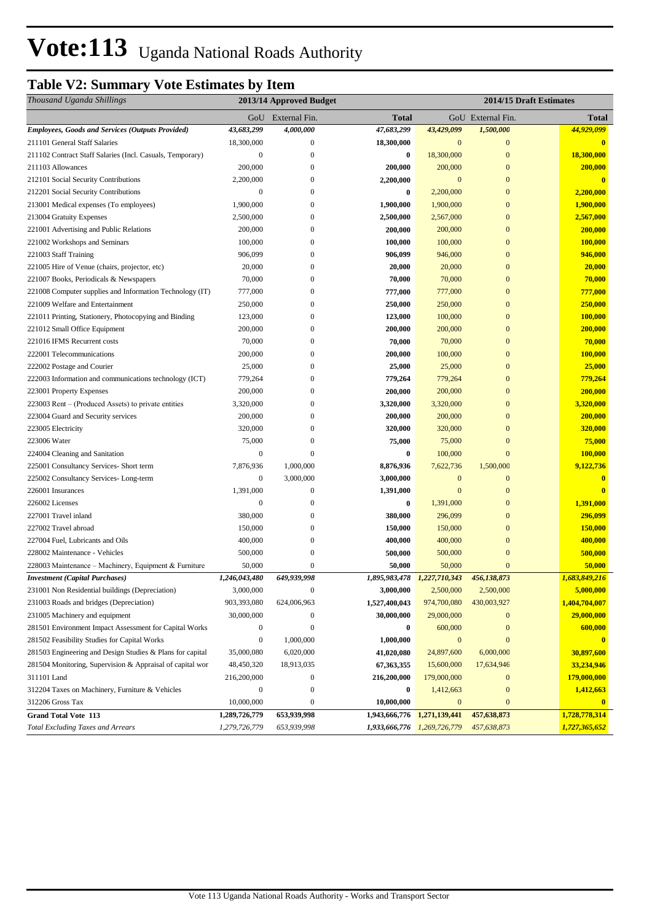## **Table V2: Summary Vote Estimates by Item**

| Thousand Uganda Shillings                                               |                                | 2013/14 Approved Budget    |                                | 2014/15 Draft Estimates        |                            |                                |
|-------------------------------------------------------------------------|--------------------------------|----------------------------|--------------------------------|--------------------------------|----------------------------|--------------------------------|
|                                                                         |                                | GoU External Fin.          | <b>Total</b>                   |                                | GoU External Fin.          | <b>Total</b>                   |
| <b>Employees, Goods and Services (Outputs Provided)</b>                 | 43,683,299                     | 4,000,000                  | 47,683,299                     | 43,429,099                     | 1,500,000                  | 44,929,099                     |
| 211101 General Staff Salaries                                           | 18,300,000                     | $\boldsymbol{0}$           | 18,300,000                     | $\mathbf{0}$                   | $\boldsymbol{0}$           | $\bf{0}$                       |
| 211102 Contract Staff Salaries (Incl. Casuals, Temporary)               | $\mathbf{0}$                   | $\boldsymbol{0}$           | $\bf{0}$                       | 18,300,000                     | $\mathbf{0}$               | 18,300,000                     |
| 211103 Allowances                                                       | 200,000                        | $\overline{0}$             | 200,000                        | 200,000                        | $\boldsymbol{0}$           | 200,000                        |
| 212101 Social Security Contributions                                    | 2,200,000                      | 0                          | 2,200,000                      | $\overline{0}$                 | $\mathbf{0}$               | $\mathbf{0}$                   |
| 212201 Social Security Contributions                                    | $\boldsymbol{0}$               | 0                          | $\bf{0}$                       | 2,200,000                      | $\boldsymbol{0}$           | 2,200,000                      |
| 213001 Medical expenses (To employees)                                  | 1,900,000                      | 0                          | 1,900,000                      | 1,900,000                      | $\boldsymbol{0}$           | 1,900,000                      |
| 213004 Gratuity Expenses                                                | 2,500,000                      | 0                          | 2,500,000                      | 2,567,000                      | $\overline{0}$             | 2,567,000                      |
| 221001 Advertising and Public Relations                                 | 200,000                        | $\overline{0}$             | 200,000                        | 200,000                        | $\boldsymbol{0}$           | 200,000                        |
| 221002 Workshops and Seminars                                           | 100,000                        | 0                          | 100,000                        | 100,000                        | $\boldsymbol{0}$           | 100,000                        |
| 221003 Staff Training                                                   | 906,099                        | $\overline{0}$             | 906,099                        | 946,000                        | $\boldsymbol{0}$           | 946,000                        |
| 221005 Hire of Venue (chairs, projector, etc)                           | 20,000                         | $\overline{0}$             | 20,000                         | 20,000                         | $\mathbf{0}$               | 20,000                         |
| 221007 Books, Periodicals & Newspapers                                  | 70,000                         | 0                          | 70,000                         | 70,000                         | $\mathbf{0}$               | 70,000                         |
| 221008 Computer supplies and Information Technology (IT)                | 777,000                        | $\boldsymbol{0}$           | 777,000                        | 777,000                        | $\mathbf{0}$               | 777,000                        |
| 221009 Welfare and Entertainment                                        | 250,000                        | 0                          | 250,000                        | 250,000                        | $\boldsymbol{0}$           | 250,000                        |
| 221011 Printing, Stationery, Photocopying and Binding                   | 123,000                        | 0                          | 123,000                        | 100,000                        | $\mathbf{0}$               | 100,000                        |
| 221012 Small Office Equipment                                           | 200,000                        | 0                          | 200,000                        | 200,000                        | $\mathbf{0}$               | 200,000                        |
| 221016 IFMS Recurrent costs                                             | 70,000                         | $\overline{0}$             | 70,000                         | 70,000                         | $\mathbf{0}$               | 70,000                         |
| 222001 Telecommunications                                               | 200,000                        | $\overline{0}$             | 200,000                        | 100,000                        | $\mathbf{0}$               | 100,000                        |
| 222002 Postage and Courier                                              | 25,000                         | 0                          | 25,000                         | 25,000                         | $\mathbf{0}$               | 25,000                         |
| 222003 Information and communications technology (ICT)                  | 779,264                        | $\overline{0}$             | 779,264                        | 779,264                        | $\overline{0}$             | 779,264                        |
| 223001 Property Expenses                                                | 200,000                        | 0                          | 200,000                        | 200,000                        | $\mathbf{0}$               | 200,000                        |
| 223003 Rent – (Produced Assets) to private entities                     | 3,320,000                      | $\overline{0}$             | 3,320,000                      | 3,320,000                      | $\overline{0}$             | 3,320,000                      |
| 223004 Guard and Security services                                      | 200,000                        | 0                          | 200,000                        | 200,000                        | $\boldsymbol{0}$           | 200,000                        |
| 223005 Electricity                                                      | 320,000                        | 0                          | 320,000                        | 320,000                        | $\mathbf{0}$               | 320,000                        |
| 223006 Water                                                            | 75,000                         | 0                          | 75,000                         | 75,000                         | $\mathbf{0}$               | 75,000                         |
| 224004 Cleaning and Sanitation                                          | $\boldsymbol{0}$               | $\overline{0}$             | $\bf{0}$                       | 100,000                        | $\overline{0}$             | 100,000                        |
| 225001 Consultancy Services- Short term                                 | 7,876,936                      | 1,000,000                  | 8,876,936                      | 7,622,736                      | 1,500,000                  | 9,122,736                      |
| 225002 Consultancy Services-Long-term                                   | $\boldsymbol{0}$               | 3,000,000                  | 3,000,000                      | $\mathbf{0}$                   | $\mathbf{0}$               | $\bf{0}$                       |
| 226001 Insurances                                                       | 1,391,000                      | $\boldsymbol{0}$           | 1,391,000                      | $\overline{0}$                 | $\overline{0}$             | $\mathbf{0}$                   |
| 226002 Licenses                                                         | $\mathbf{0}$                   | 0                          | $\bf{0}$                       | 1,391,000                      | $\boldsymbol{0}$           | 1,391,000                      |
| 227001 Travel inland                                                    | 380,000                        | 0                          | 380,000                        | 296,099                        | $\overline{0}$             | 296,099                        |
| 227002 Travel abroad                                                    | 150,000                        | $\overline{0}$             | 150,000                        | 150,000                        | $\boldsymbol{0}$           | 150,000                        |
| 227004 Fuel, Lubricants and Oils                                        | 400,000                        | 0                          | 400,000                        | 400,000                        | $\mathbf{0}$               | 400,000                        |
| 228002 Maintenance - Vehicles                                           | 500,000                        | 0                          | 500,000                        | 500,000                        | $\mathbf{0}$               | 500,000                        |
| 228003 Maintenance - Machinery, Equipment & Furniture                   | 50,000                         | $\overline{0}$             | 50,000                         | 50,000                         | $\mathbf{0}$               | 50,000                         |
| <b>Investment</b> (Capital Purchases)                                   | 1,246,043,480                  | 649,939,998                | 1,895,983,478 1,227,710,343    |                                | 456,138,873                | 1,683,849,216                  |
| 231001 Non Residential buildings (Depreciation)                         | 3,000,000                      | $\boldsymbol{0}$           | 3,000,000                      | 2,500,000                      | 2,500,000                  | 5,000,000                      |
| 231003 Roads and bridges (Depreciation)                                 | 903,393,080                    | 624,006,963                | 1,527,400,043                  | 974,700,080                    | 430,003,927                | 1,404,704,007                  |
| 231005 Machinery and equipment                                          | 30,000,000                     | $\boldsymbol{0}$           | 30,000,000                     | 29,000,000                     | $\boldsymbol{0}$           | 29,000,000                     |
| 281501 Environment Impact Assessment for Capital Works                  | $\boldsymbol{0}$               | 0                          | $\bf{0}$                       | 600,000                        | $\boldsymbol{0}$           | 600,000                        |
| 281502 Feasibility Studies for Capital Works                            | $\boldsymbol{0}$               | 1,000,000                  | 1,000,000                      | $\boldsymbol{0}$               | $\boldsymbol{0}$           | $\mathbf{0}$                   |
| 281503 Engineering and Design Studies & Plans for capital               | 35,000,080                     | 6,020,000                  | 41,020,080                     | 24,897,600                     | 6,000,000                  | 30,897,600                     |
| 281504 Monitoring, Supervision & Appraisal of capital wor               | 48,450,320                     | 18,913,035                 | 67, 363, 355                   | 15,600,000                     | 17,634,946                 | 33,234,946                     |
| 311101 Land                                                             | 216,200,000                    | $\boldsymbol{0}$           | 216,200,000                    | 179,000,000                    | $\boldsymbol{0}$           | 179,000,000                    |
| 312204 Taxes on Machinery, Furniture & Vehicles                         | $\boldsymbol{0}$               | 0                          | $\bf{0}$                       | 1,412,663                      | $\boldsymbol{0}$           | 1,412,663                      |
| 312206 Gross Tax                                                        | 10,000,000                     | $\boldsymbol{0}$           | 10,000,000                     | $\boldsymbol{0}$               | $\mathbf{0}$               | $\mathbf{0}$                   |
| <b>Grand Total Vote 113</b><br><b>Total Excluding Taxes and Arrears</b> | 1,289,726,779<br>1,279,726,779 | 653,939,998<br>653,939,998 | 1,943,666,776<br>1,933,666,776 | 1,271,139,441<br>1,269,726,779 | 457,638,873<br>457,638,873 | 1,728,778,314<br>1,727,365,652 |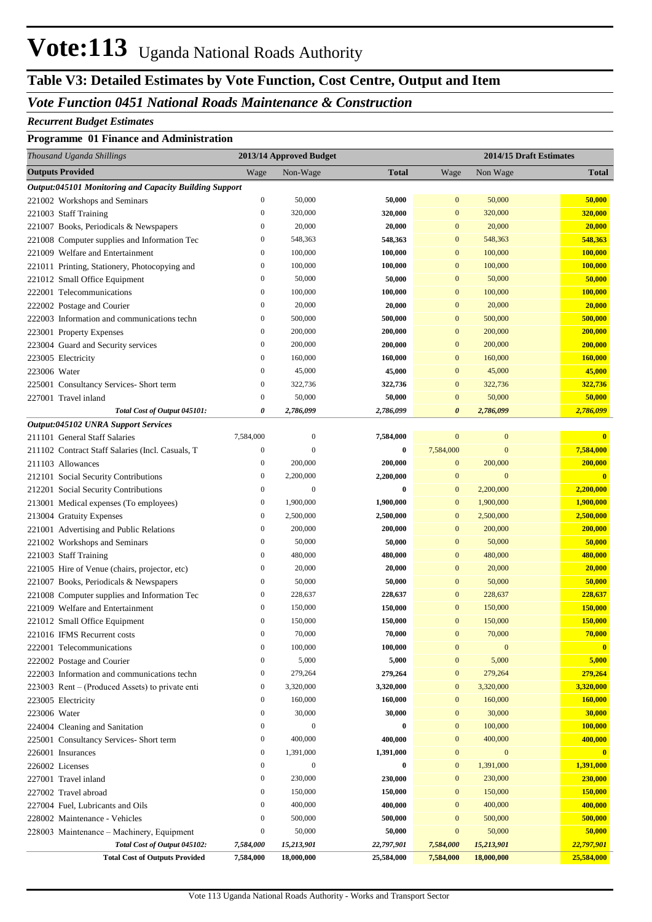## **Table V3: Detailed Estimates by Vote Function, Cost Centre, Output and Item**

#### *Vote Function 0451 National Roads Maintenance & Construction*

#### *Recurrent Budget Estimates*

#### **Programme 01 Finance and Administration**

| Thousand Uganda Shillings                              |                  | 2013/14 Approved Budget |              |                       |                  | 2014/15 Draft Estimates |
|--------------------------------------------------------|------------------|-------------------------|--------------|-----------------------|------------------|-------------------------|
| <b>Outputs Provided</b>                                | Wage             | Non-Wage                | <b>Total</b> | Wage                  | Non Wage         | <b>Total</b>            |
| Output:045101 Monitoring and Capacity Building Support |                  |                         |              |                       |                  |                         |
| 221002 Workshops and Seminars                          | $\boldsymbol{0}$ | 50,000                  | 50,000       | $\boldsymbol{0}$      | 50,000           | 50,000                  |
| 221003 Staff Training                                  | $\boldsymbol{0}$ | 320,000                 | 320,000      | $\boldsymbol{0}$      | 320,000          | 320,000                 |
| 221007 Books, Periodicals & Newspapers                 | $\boldsymbol{0}$ | 20,000                  | 20,000       | $\mathbf{0}$          | 20,000           | 20,000                  |
| 221008 Computer supplies and Information Tec           | $\boldsymbol{0}$ | 548,363                 | 548,363      | $\mathbf{0}$          | 548,363          | 548,363                 |
| 221009 Welfare and Entertainment                       | $\boldsymbol{0}$ | 100,000                 | 100,000      | $\mathbf{0}$          | 100,000          | 100,000                 |
| 221011 Printing, Stationery, Photocopying and          | $\boldsymbol{0}$ | 100,000                 | 100,000      | $\mathbf{0}$          | 100,000          | 100,000                 |
| 221012 Small Office Equipment                          | $\boldsymbol{0}$ | 50,000                  | 50,000       | $\mathbf{0}$          | 50,000           | 50,000                  |
| 222001 Telecommunications                              | $\boldsymbol{0}$ | 100,000                 | 100,000      | $\mathbf{0}$          | 100,000          | 100,000                 |
| 222002 Postage and Courier                             | $\boldsymbol{0}$ | 20,000                  | 20,000       | $\mathbf{0}$          | 20,000           | 20,000                  |
| 222003 Information and communications techn            | $\boldsymbol{0}$ | 500,000                 | 500,000      | $\mathbf{0}$          | 500,000          | 500,000                 |
| 223001 Property Expenses                               | $\boldsymbol{0}$ | 200,000                 | 200,000      | $\mathbf{0}$          | 200,000          | 200,000                 |
| 223004 Guard and Security services                     | $\boldsymbol{0}$ | 200,000                 | 200,000      | $\mathbf{0}$          | 200,000          | 200,000                 |
| 223005 Electricity                                     | $\boldsymbol{0}$ | 160,000                 | 160,000      | $\mathbf{0}$          | 160,000          | 160,000                 |
| 223006 Water                                           | $\boldsymbol{0}$ | 45,000                  | 45,000       | $\mathbf{0}$          | 45,000           | 45,000                  |
| 225001 Consultancy Services- Short term                | $\boldsymbol{0}$ | 322,736                 | 322,736      | $\mathbf{0}$          | 322,736          | 322,736                 |
| 227001 Travel inland                                   | $\mathbf{0}$     | 50,000                  | 50,000       | $\mathbf{0}$          | 50,000           | 50,000                  |
| Total Cost of Output 045101:                           | 0                | 2,786,099               | 2,786,099    | $\boldsymbol{\theta}$ | 2,786,099        | 2,786,099               |
| Output:045102 UNRA Support Services                    |                  |                         |              |                       |                  |                         |
| 211101 General Staff Salaries                          | 7,584,000        | $\boldsymbol{0}$        | 7,584,000    | $\boldsymbol{0}$      | $\boldsymbol{0}$ | $\bf{0}$                |
| 211102 Contract Staff Salaries (Incl. Casuals, T       | $\boldsymbol{0}$ | $\mathbf{0}$            | $\bf{0}$     | 7,584,000             | $\mathbf{0}$     | 7,584,000               |
| 211103 Allowances                                      | $\bf{0}$         | 200,000                 | 200,000      | $\boldsymbol{0}$      | 200,000          | 200,000                 |
| 212101 Social Security Contributions                   | $\bf{0}$         | 2,200,000               | 2,200,000    | $\boldsymbol{0}$      | $\mathbf{0}$     | $\bf{0}$                |
| 212201 Social Security Contributions                   | $\boldsymbol{0}$ | $\mathbf{0}$            | $\bf{0}$     | $\mathbf{0}$          | 2,200,000        | 2,200,000               |
| 213001 Medical expenses (To employees)                 | $\boldsymbol{0}$ | 1,900,000               | 1,900,000    | $\boldsymbol{0}$      | 1,900,000        | 1,900,000               |
| 213004 Gratuity Expenses                               | $\boldsymbol{0}$ | 2,500,000               | 2,500,000    | $\boldsymbol{0}$      | 2,500,000        | 2,500,000               |
| 221001 Advertising and Public Relations                | $\boldsymbol{0}$ | 200,000                 | 200,000      | $\boldsymbol{0}$      | 200,000          | 200,000                 |
| 221002 Workshops and Seminars                          | $\boldsymbol{0}$ | 50,000                  | 50,000       | $\mathbf{0}$          | 50,000           | 50,000                  |
| 221003 Staff Training                                  | $\bf{0}$         | 480,000                 | 480,000      | $\mathbf{0}$          | 480,000          | 480,000                 |
| 221005 Hire of Venue (chairs, projector, etc)          | $\boldsymbol{0}$ | 20,000                  | 20,000       | $\mathbf{0}$          | 20,000           | 20,000                  |
| 221007 Books, Periodicals & Newspapers                 | $\boldsymbol{0}$ | 50,000                  | 50,000       | $\mathbf{0}$          | 50,000           | 50,000                  |
| 221008 Computer supplies and Information Tec           | $\bf{0}$         | 228,637                 | 228,637      | $\mathbf{0}$          | 228,637          | 228,637                 |
| 221009 Welfare and Entertainment                       | $\bf{0}$         | 150,000                 | 150,000      | $\mathbf{0}$          | 150,000          | 150,000                 |
| 221012 Small Office Equipment                          | $\bf{0}$         | 150,000                 | 150,000      | $\bf{0}$              | 150,000          | 150,000                 |
| 221016 IFMS Recurrent costs                            | $\mathbf{0}$     | 70,000                  | 70,000       | $\overline{0}$        | 70,000           | 70,000                  |
| 222001 Telecommunications                              | $\boldsymbol{0}$ | 100,000                 | 100,000      | $\mathbf{0}$          | $\mathbf{0}$     | $\bf{0}$                |
| 222002 Postage and Courier                             | $\boldsymbol{0}$ | 5,000                   | 5,000        | $\boldsymbol{0}$      | 5,000            | 5,000                   |
| 222003 Information and communications techn            | $\bf{0}$         | 279,264                 | 279,264      | $\boldsymbol{0}$      | 279,264          | 279,264                 |
| $223003$ Rent – (Produced Assets) to private enti      | $\bf{0}$         | 3,320,000               | 3,320,000    | $\boldsymbol{0}$      | 3,320,000        | 3,320,000               |
| 223005 Electricity                                     | $\bf{0}$         | 160,000                 | 160,000      | $\boldsymbol{0}$      | 160,000          | 160,000                 |
| 223006 Water                                           | $\boldsymbol{0}$ | 30,000                  | 30,000       | $\boldsymbol{0}$      | 30,000           | 30,000                  |
| 224004 Cleaning and Sanitation                         | $\boldsymbol{0}$ | $\mathbf{0}$            | $\bf{0}$     | $\boldsymbol{0}$      | 100,000          | 100,000                 |
| 225001 Consultancy Services- Short term                | $\boldsymbol{0}$ | 400,000                 | 400,000      | $\boldsymbol{0}$      | 400,000          | 400,000                 |
| 226001 Insurances                                      | $\boldsymbol{0}$ | 1,391,000               | 1,391,000    | $\boldsymbol{0}$      | $\mathbf{0}$     | $\mathbf{0}$            |
| 226002 Licenses                                        | $\boldsymbol{0}$ | $\mathbf{0}$            | $\bf{0}$     | $\mathbf{0}$          | 1,391,000        | 1,391,000               |
| 227001 Travel inland                                   | $\boldsymbol{0}$ | 230,000                 | 230,000      | $\mathbf{0}$          | 230,000          | 230,000                 |
| 227002 Travel abroad                                   | $\bf{0}$         | 150,000                 | 150,000      | $\boldsymbol{0}$      | 150,000          | 150,000                 |
| 227004 Fuel, Lubricants and Oils                       | $\boldsymbol{0}$ | 400,000                 | 400,000      | $\mathbf{0}$          | 400,000          | 400,000                 |
| 228002 Maintenance - Vehicles                          | $\bf{0}$         | 500,000                 | 500,000      | $\boldsymbol{0}$      | 500,000          | 500,000                 |
| 228003 Maintenance - Machinery, Equipment              | $\bf{0}$         | 50,000                  | 50,000       | $\boldsymbol{0}$      | 50,000           | 50,000                  |
| Total Cost of Output 045102:                           | 7,584,000        | 15,213,901              | 22,797,901   | 7,584,000             | 15,213,901       | 22,797,901              |
| <b>Total Cost of Outputs Provided</b>                  | 7,584,000        | 18,000,000              | 25,584,000   | 7,584,000             | 18,000,000       | 25,584,000              |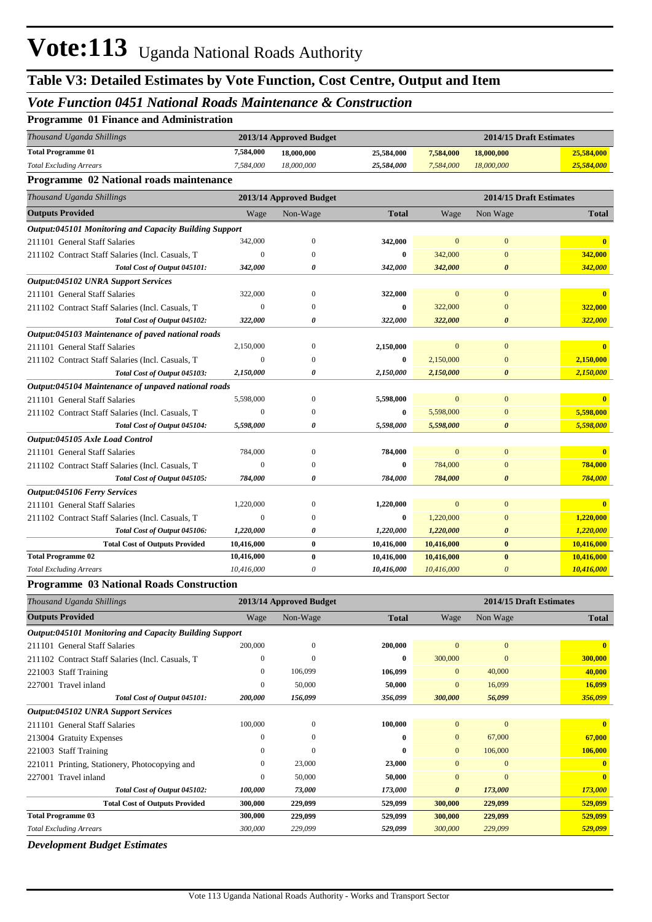#### *Vote Function 0451 National Roads Maintenance & Construction*

| <b>Programme 01 Finance and Administration</b>                |                  |                         |              |                         |                       |              |  |
|---------------------------------------------------------------|------------------|-------------------------|--------------|-------------------------|-----------------------|--------------|--|
| Thousand Uganda Shillings                                     |                  | 2013/14 Approved Budget |              | 2014/15 Draft Estimates |                       |              |  |
| <b>Total Programme 01</b>                                     | 7,584,000        | 18,000,000              | 25,584,000   | 7,584,000               | 18,000,000            | 25,584,000   |  |
| <b>Total Excluding Arrears</b>                                | 7,584,000        | 18,000,000              | 25,584,000   | 7,584,000               | 18,000,000            | 25,584,000   |  |
| Programme 02 National roads maintenance                       |                  |                         |              |                         |                       |              |  |
| Thousand Uganda Shillings                                     |                  | 2013/14 Approved Budget |              | 2014/15 Draft Estimates |                       |              |  |
| <b>Outputs Provided</b>                                       | Wage             | Non-Wage                | <b>Total</b> | Wage                    | Non Wage              | <b>Total</b> |  |
| <b>Output:045101 Monitoring and Capacity Building Support</b> |                  |                         |              |                         |                       |              |  |
| 211101 General Staff Salaries                                 | 342,000          | $\overline{0}$          | 342,000      | $\mathbf{0}$            | $\mathbf{0}$          | $\mathbf{0}$ |  |
| 211102 Contract Staff Salaries (Incl. Casuals, T              | $\mathbf{0}$     | $\Omega$                | $\bf{0}$     | 342,000                 | $\Omega$              | 342,000      |  |
| Total Cost of Output 045101:                                  | 342,000          | $\theta$                | 342,000      | 342,000                 | $\boldsymbol{\theta}$ | 342,000      |  |
| Output:045102 UNRA Support Services                           |                  |                         |              |                         |                       |              |  |
| 211101 General Staff Salaries                                 | 322,000          | $\overline{0}$          | 322,000      | $\mathbf{0}$            | $\mathbf{0}$          | $\mathbf{0}$ |  |
| 211102 Contract Staff Salaries (Incl. Casuals, T              | $\overline{0}$   | $\Omega$                | $\bf{0}$     | 322,000                 | $\mathbf{0}$          | 322,000      |  |
| Total Cost of Output 045102:                                  | 322,000          | 0                       | 322,000      | 322,000                 | $\boldsymbol{\theta}$ | 322,000      |  |
| Output:045103 Maintenance of paved national roads             |                  |                         |              |                         |                       |              |  |
| 211101 General Staff Salaries                                 | 2,150,000        | $\overline{0}$          | 2,150,000    | $\mathbf{0}$            | $\mathbf{0}$          | $\mathbf{0}$ |  |
| 211102 Contract Staff Salaries (Incl. Casuals, T              | $\theta$         | $\theta$                | $\mathbf{0}$ | 2,150,000               | $\mathbf{0}$          | 2,150,000    |  |
| Total Cost of Output 045103:                                  | 2,150,000        | 0                       | 2,150,000    | 2,150,000               | $\boldsymbol{\theta}$ | 2,150,000    |  |
| Output:045104 Maintenance of unpaved national roads           |                  |                         |              |                         |                       |              |  |
| 211101 General Staff Salaries                                 | 5,598,000        | $\mathbf{0}$            | 5,598,000    | $\mathbf{0}$            | $\mathbf{0}$          | $\mathbf{0}$ |  |
| 211102 Contract Staff Salaries (Incl. Casuals, T              | $\boldsymbol{0}$ | $\Omega$                | $\bf{0}$     | 5,598,000               | $\mathbf{0}$          | 5,598,000    |  |
| Total Cost of Output 045104:                                  | 5,598,000        | 0                       | 5,598,000    | 5,598,000               | $\boldsymbol{\theta}$ | 5,598,000    |  |
| Output:045105 Axle Load Control                               |                  |                         |              |                         |                       |              |  |
| 211101 General Staff Salaries                                 | 784,000          | $\overline{0}$          | 784,000      | $\mathbf{0}$            | $\mathbf{0}$          |              |  |
| 211102 Contract Staff Salaries (Incl. Casuals, T              | $\theta$         | $\Omega$                | $\bf{0}$     | 784,000                 | $\mathbf{0}$          | 784,000      |  |
| Total Cost of Output 045105:                                  | 784,000          | 0                       | 784,000      | 784,000                 | $\boldsymbol{\theta}$ | 784,000      |  |
| <b>Output:045106 Ferry Services</b>                           |                  |                         |              |                         |                       |              |  |
| 211101 General Staff Salaries                                 | 1,220,000        | $\mathbf{0}$            | 1,220,000    | $\mathbf{0}$            | $\mathbf{0}$          | $\mathbf{0}$ |  |
| 211102 Contract Staff Salaries (Incl. Casuals, T              | $\overline{0}$   | $\Omega$                | $\bf{0}$     | 1,220,000               | $\mathbf{0}$          | 1,220,000    |  |
| Total Cost of Output 045106:                                  | 1,220,000        | 0                       | 1,220,000    | 1,220,000               | $\boldsymbol{\theta}$ | 1,220,000    |  |
| <b>Total Cost of Outputs Provided</b>                         | 10,416,000       | $\bf{0}$                | 10,416,000   | 10,416,000              | $\bf{0}$              | 10,416,000   |  |
| <b>Total Programme 02</b>                                     | 10,416,000       | $\bf{0}$                | 10,416,000   | 10,416,000              | $\bf{0}$              | 10,416,000   |  |
| <b>Total Excluding Arrears</b>                                | 10,416,000       | $\boldsymbol{\theta}$   | 10,416,000   | 10,416,000              | $\boldsymbol{\theta}$ | 10,416,000   |  |

#### **Programme 03 National Roads Construction**

| Thousand Uganda Shillings                              |              | 2013/14 Approved Budget |              | 2014/15 Draft Estimates |              |              |
|--------------------------------------------------------|--------------|-------------------------|--------------|-------------------------|--------------|--------------|
| <b>Outputs Provided</b>                                | Wage         | Non-Wage                | <b>Total</b> | Wage                    | Non Wage     | <b>Total</b> |
| Output:045101 Monitoring and Capacity Building Support |              |                         |              |                         |              |              |
| 211101 General Staff Salaries                          | 200,000      | $\mathbf{0}$            | 200,000      | $\mathbf{0}$            | $\mathbf{0}$ | $\mathbf{0}$ |
| 211102 Contract Staff Salaries (Incl. Casuals, T.      | $\mathbf{0}$ | $\mathbf{0}$            | $\bf{0}$     | 300,000                 | $\mathbf{0}$ | 300,000      |
| 221003 Staff Training                                  | $\mathbf{0}$ | 106,099                 | 106,099      | $\mathbf{0}$            | 40,000       | 40,000       |
| 227001 Travel inland                                   | $\mathbf{0}$ | 50,000                  | 50,000       | $\mathbf{0}$            | 16,099       | 16,099       |
| Total Cost of Output 045101:                           | 200,000      | 156,099                 | 356,099      | 300,000                 | 56,099       | 356,099      |
| <b>Output:045102 UNRA Support Services</b>             |              |                         |              |                         |              |              |
| 211101 General Staff Salaries                          | 100,000      | $\theta$                | 100,000      | $\mathbf{0}$            | $\mathbf{0}$ | $\mathbf{0}$ |
| 213004 Gratuity Expenses                               | $\Omega$     | $\mathbf{0}$            | $\mathbf{0}$ | $\mathbf{0}$            | 67,000       | 67,000       |
| 221003 Staff Training                                  | $\Omega$     | $\Omega$                | $\mathbf{0}$ | $\Omega$                | 106,000      | 106,000      |
| 221011 Printing, Stationery, Photocopying and          | $\Omega$     | 23,000                  | 23,000       | $\Omega$                | $\mathbf{0}$ | $\mathbf{0}$ |
| 227001 Travel inland                                   | $\Omega$     | 50,000                  | 50,000       | $\Omega$                | $\Omega$     | $\mathbf{0}$ |
| Total Cost of Output 045102:                           | 100,000      | 73,000                  | 173,000      | 0                       | 173,000      | 173,000      |
| <b>Total Cost of Outputs Provided</b>                  | 300,000      | 229,099                 | 529,099      | 300,000                 | 229,099      | 529,099      |
| <b>Total Programme 03</b>                              | 300,000      | 229,099                 | 529,099      | 300,000                 | 229,099      | 529,099      |
| <b>Total Excluding Arrears</b>                         | 300,000      | 229,099                 | 529,099      | 300,000                 | 229,099      | 529,099      |

*Development Budget Estimates*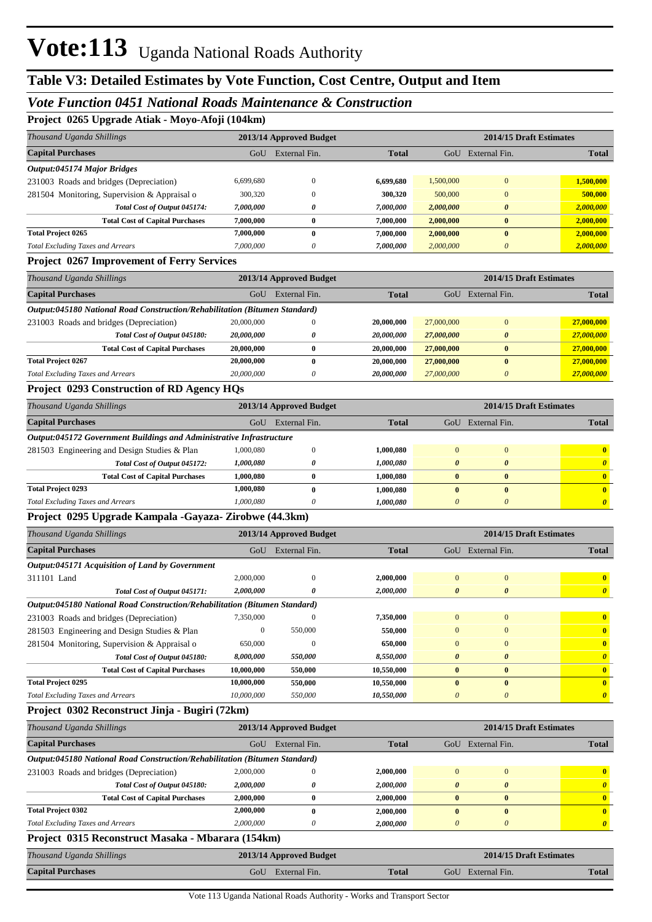### **Table V3: Detailed Estimates by Vote Function, Cost Centre, Output and Item**

#### *Vote Function 0451 National Roads Maintenance & Construction*

**Project 0265 Upgrade Atiak - Moyo-Afoji (104km)**

| Thousand Uganda Shillings                                                   |                  | 2013/14 Approved Budget |              |                       |                           | 2014/15 Draft Estimates |
|-----------------------------------------------------------------------------|------------------|-------------------------|--------------|-----------------------|---------------------------|-------------------------|
| <b>Capital Purchases</b>                                                    |                  | GoU External Fin.       | <b>Total</b> |                       | GoU External Fin.         | Total                   |
| Output:045174 Major Bridges                                                 |                  |                         |              |                       |                           |                         |
| 231003 Roads and bridges (Depreciation)                                     | 6,699,680        | $\boldsymbol{0}$        | 6,699,680    | 1,500,000             | $\boldsymbol{0}$          | 1,500,000               |
| 281504 Monitoring, Supervision & Appraisal o                                | 300,320          | $\boldsymbol{0}$        | 300,320      | 500,000               | $\bf{0}$                  | 500,000                 |
| Total Cost of Output 045174:                                                | 7,000,000        | 0                       | 7,000,000    | 2,000,000             | 0                         | 2,000,000               |
| <b>Total Cost of Capital Purchases</b>                                      | 7,000,000        | $\bf{0}$                | 7,000,000    | 2,000,000             | $\bf{0}$                  | 2,000,000               |
| <b>Total Project 0265</b>                                                   | 7,000,000        | $\bf{0}$                | 7,000,000    | 2,000,000             | $\bf{0}$                  | 2,000,000               |
| <b>Total Excluding Taxes and Arrears</b>                                    | 7,000,000        | 0                       | 7,000,000    | 2,000,000             | $\boldsymbol{\theta}$     | 2,000,000               |
| <b>Project 0267 Improvement of Ferry Services</b>                           |                  |                         |              |                       |                           |                         |
| Thousand Uganda Shillings                                                   |                  | 2013/14 Approved Budget |              |                       |                           | 2014/15 Draft Estimates |
| <b>Capital Purchases</b>                                                    | GoU              | External Fin.           | <b>Total</b> |                       | GoU External Fin.         | <b>Total</b>            |
| Output:045180 National Road Construction/Rehabilitation (Bitumen Standard)  |                  |                         |              |                       |                           |                         |
| 231003 Roads and bridges (Depreciation)                                     | 20,000,000       | $\boldsymbol{0}$        | 20,000,000   | 27,000,000            | $\mathbf{0}$              | 27,000,000              |
| Total Cost of Output 045180:                                                | 20,000,000       | 0                       | 20,000,000   | 27,000,000            | 0                         | 27,000,000              |
| <b>Total Cost of Capital Purchases</b>                                      | 20,000,000       | $\bf{0}$                | 20,000,000   | 27,000,000            | $\bf{0}$                  | 27,000,000              |
| <b>Total Project 0267</b>                                                   | 20,000,000       | $\bf{0}$                | 20,000,000   | 27,000,000            | $\bf{0}$                  | 27,000,000              |
| <b>Total Excluding Taxes and Arrears</b>                                    | 20,000,000       | 0                       | 20,000,000   | 27,000,000            | $\boldsymbol{\theta}$     | 27,000,000              |
| Project 0293 Construction of RD Agency HQs                                  |                  |                         |              |                       |                           |                         |
| Thousand Uganda Shillings                                                   |                  | 2013/14 Approved Budget |              |                       |                           | 2014/15 Draft Estimates |
| <b>Capital Purchases</b>                                                    | GoU              | External Fin.           | <b>Total</b> |                       | GoU External Fin.         | <b>Total</b>            |
| <b>Output:045172 Government Buildings and Administrative Infrastructure</b> |                  |                         |              |                       |                           |                         |
| 281503 Engineering and Design Studies & Plan                                | 1,000,080        | $\boldsymbol{0}$        | 1,000,080    | $\mathbf{0}$          | $\boldsymbol{0}$          | $\mathbf{0}$            |
| Total Cost of Output 045172:                                                | 1,000,080        | 0                       | 1,000,080    | $\boldsymbol{\theta}$ | $\boldsymbol{\theta}$     | $\boldsymbol{\theta}$   |
| <b>Total Cost of Capital Purchases</b>                                      | 1,000,080        | $\bf{0}$                | 1,000,080    | $\bf{0}$              | $\bf{0}$                  | $\bullet$               |
| <b>Total Project 0293</b>                                                   | 1,000,080        | $\bf{0}$                | 1,000,080    | $\bf{0}$              | $\bf{0}$                  | $\mathbf{0}$            |
| <b>Total Excluding Taxes and Arrears</b>                                    | 1,000,080        | 0                       | 1,000,080    | $\theta$              | $\boldsymbol{\theta}$     | $\boldsymbol{\theta}$   |
| Project 0295 Upgrade Kampala -Gayaza- Zirobwe (44.3km)                      |                  |                         |              |                       |                           |                         |
| Thousand Uganda Shillings                                                   |                  | 2013/14 Approved Budget |              |                       |                           | 2014/15 Draft Estimates |
| <b>Capital Purchases</b>                                                    |                  | GoU External Fin.       | <b>Total</b> |                       | GoU External Fin.         | <b>Total</b>            |
| Output:045171 Acquisition of Land by Government                             |                  |                         |              |                       |                           |                         |
| 311101 Land                                                                 |                  |                         |              |                       |                           |                         |
|                                                                             | 2,000,000        | $\mathbf{0}$            | 2,000,000    | $\mathbf{0}$          | $\boldsymbol{0}$          | $\bf{0}$                |
| Total Cost of Output 045171:                                                | 2,000,000        | 0                       | 2,000,000    | $\boldsymbol{\theta}$ | $\boldsymbol{\theta}$     | $\boldsymbol{\theta}$   |
| Output:045180 National Road Construction/Rehabilitation (Bitumen Standard)  |                  |                         |              |                       |                           |                         |
| 231003 Roads and bridges (Depreciation)                                     | 7,350,000        | $\boldsymbol{0}$        | 7,350,000    | $\mathbf{0}$          | $\boldsymbol{0}$          | $\bf{0}$                |
| 281503 Engineering and Design Studies & Plan                                | $\boldsymbol{0}$ | 550,000                 | 550,000      | $\boldsymbol{0}$      | $\boldsymbol{0}$          | $\mathbf{0}$            |
| 281504 Monitoring, Supervision & Appraisal o                                | 650,000          | $\theta$                | 650,000      | $\Omega$              | $\mathbf{0}$              | $\mathbf{0}$            |
| Total Cost of Output 045180:                                                | 8,000,000        | 550,000                 | 8,550,000    | 0                     | $\boldsymbol{\theta}$     | $\boldsymbol{\theta}$   |
| <b>Total Cost of Capital Purchases</b>                                      | 10,000,000       | 550,000                 | 10,550,000   | $\bf{0}$              | $\bf{0}$                  | $\mathbf{0}$            |
| <b>Total Project 0295</b>                                                   | 10,000,000       | 550,000                 | 10,550,000   | $\bf{0}$              | $\bf{0}$                  | $\mathbf{0}$            |
| <b>Total Excluding Taxes and Arrears</b>                                    | 10,000,000       | 550,000                 | 10,550,000   | $\boldsymbol{\theta}$ | $\boldsymbol{\mathit{0}}$ | $\boldsymbol{\theta}$   |
| Project 0302 Reconstruct Jinja - Bugiri (72km)                              |                  |                         |              |                       |                           |                         |
| Thousand Uganda Shillings                                                   |                  | 2013/14 Approved Budget |              |                       |                           | 2014/15 Draft Estimates |
| <b>Capital Purchases</b>                                                    |                  | GoU External Fin.       | <b>Total</b> |                       | GoU External Fin.         | <b>Total</b>            |
| Output:045180 National Road Construction/Rehabilitation (Bitumen Standard)  |                  |                         |              |                       |                           |                         |
| 231003 Roads and bridges (Depreciation)                                     | 2,000,000        | $\boldsymbol{0}$        | 2,000,000    | $\mathbf{0}$          | $\boldsymbol{0}$          | $\mathbf{0}$            |
| Total Cost of Output 045180:                                                | 2,000,000        | 0                       | 2,000,000    | $\boldsymbol{\theta}$ | $\pmb{\theta}$            | $\boldsymbol{\theta}$   |
| <b>Total Cost of Capital Purchases</b>                                      | 2,000,000        | $\boldsymbol{0}$        | 2,000,000    | $\pmb{0}$             | $\bf{0}$                  | $\mathbf{0}$            |
| <b>Total Project 0302</b>                                                   | 2,000,000        | $\bf{0}$                | 2,000,000    | $\bf{0}$              | $\boldsymbol{0}$          | $\mathbf{0}$            |
| <b>Total Excluding Taxes and Arrears</b>                                    | 2,000,000        | 0                       | 2,000,000    | $\boldsymbol{\theta}$ | $\boldsymbol{\mathit{0}}$ | $\boldsymbol{\theta}$   |
| Project 0315 Reconstruct Masaka - Mbarara (154km)                           |                  |                         |              |                       |                           |                         |
| Thousand Uganda Shillings                                                   |                  | 2013/14 Approved Budget |              |                       |                           | 2014/15 Draft Estimates |
| <b>Capital Purchases</b>                                                    |                  | GoU External Fin.       | <b>Total</b> |                       | GoU External Fin.         | <b>Total</b>            |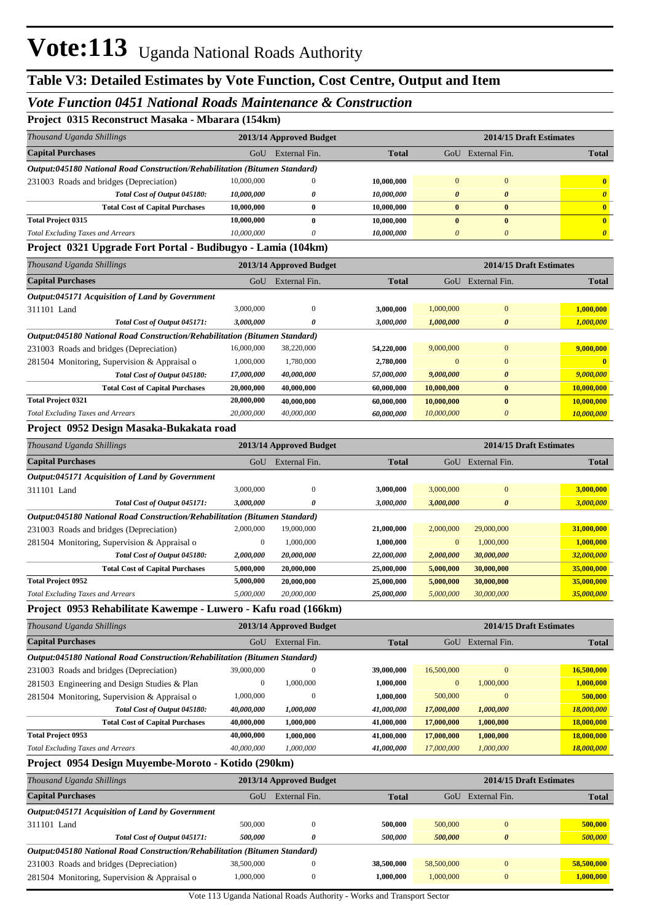#### *Vote Function 0451 National Roads Maintenance & Construction*

**Project 0315 Reconstruct Masaka - Mbarara (154km)**

| Thousand Uganda Shillings<br>2013/14 Approved Budget<br><b>Capital Purchases</b><br>External Fin.<br>GoU<br>Output:045180 National Road Construction/Rehabilitation (Bitumen Standard)<br>10,000,000<br>$\bf{0}$<br>231003 Roads and bridges (Depreciation)<br>Total Cost of Output 045180:<br>10,000,000<br>0<br>10,000,000<br>$\bf{0}$<br><b>Total Cost of Capital Purchases</b><br><b>Total Project 0315</b><br>10,000,000<br>$\bf{0}$<br>10,000,000<br><b>Total Excluding Taxes and Arrears</b><br>0<br>Project 0321 Upgrade Fort Portal - Budibugyo - Lamia (104km)<br>Thousand Uganda Shillings<br>2013/14 Approved Budget<br><b>Capital Purchases</b><br>GoU<br>External Fin.<br>Output:045171 Acquisition of Land by Government<br>3,000,000<br>311101 Land<br>$\bf{0}$<br>3,000,000<br>Total Cost of Output 045171:<br>0<br>Output:045180 National Road Construction/Rehabilitation (Bitumen Standard)<br>16,000,000<br>231003 Roads and bridges (Depreciation)<br>38,220,000<br>1,000,000<br>1,780,000<br>281504 Monitoring, Supervision & Appraisal o<br>Total Cost of Output 045180:<br>17,000,000<br>40,000,000<br><b>Total Cost of Capital Purchases</b><br>20,000,000<br>40,000,000<br><b>Total Project 0321</b><br>20,000,000<br>40,000,000<br><b>Total Excluding Taxes and Arrears</b><br>20,000,000<br>40,000,000<br>Project 0952 Design Masaka-Bukakata road<br>Thousand Uganda Shillings<br>2013/14 Approved Budget<br><b>Capital Purchases</b><br>External Fin.<br>GoU<br>Output:045171 Acquisition of Land by Government<br>3,000,000<br>311101 Land<br>$\bf{0}$ | <b>Total</b><br>10,000,000<br>10,000,000<br>10,000,000<br>10,000,000<br>10,000,000<br><b>Total</b><br>3,000,000<br>3,000,000 | $\mathbf{0}$<br>0<br>$\bf{0}$<br>$\bf{0}$<br>$\boldsymbol{\theta}$ | 2014/15 Draft Estimates<br>GoU External Fin.<br>$\mathbf{0}$<br>$\boldsymbol{\theta}$<br>$\bf{0}$<br>$\bf{0}$<br>$\boldsymbol{\theta}$<br>2014/15 Draft Estimates | <b>Total</b><br>$\overline{\mathbf{0}}$<br>$\boldsymbol{\theta}$<br>$\mathbf{0}$<br>$\mathbf{0}$<br>$\boldsymbol{\theta}$ |
|----------------------------------------------------------------------------------------------------------------------------------------------------------------------------------------------------------------------------------------------------------------------------------------------------------------------------------------------------------------------------------------------------------------------------------------------------------------------------------------------------------------------------------------------------------------------------------------------------------------------------------------------------------------------------------------------------------------------------------------------------------------------------------------------------------------------------------------------------------------------------------------------------------------------------------------------------------------------------------------------------------------------------------------------------------------------------------------------------------------------------------------------------------------------------------------------------------------------------------------------------------------------------------------------------------------------------------------------------------------------------------------------------------------------------------------------------------------------------------------------------------------------------------------------------------------------------------------|------------------------------------------------------------------------------------------------------------------------------|--------------------------------------------------------------------|-------------------------------------------------------------------------------------------------------------------------------------------------------------------|---------------------------------------------------------------------------------------------------------------------------|
|                                                                                                                                                                                                                                                                                                                                                                                                                                                                                                                                                                                                                                                                                                                                                                                                                                                                                                                                                                                                                                                                                                                                                                                                                                                                                                                                                                                                                                                                                                                                                                                        |                                                                                                                              |                                                                    |                                                                                                                                                                   |                                                                                                                           |
|                                                                                                                                                                                                                                                                                                                                                                                                                                                                                                                                                                                                                                                                                                                                                                                                                                                                                                                                                                                                                                                                                                                                                                                                                                                                                                                                                                                                                                                                                                                                                                                        |                                                                                                                              |                                                                    |                                                                                                                                                                   |                                                                                                                           |
|                                                                                                                                                                                                                                                                                                                                                                                                                                                                                                                                                                                                                                                                                                                                                                                                                                                                                                                                                                                                                                                                                                                                                                                                                                                                                                                                                                                                                                                                                                                                                                                        |                                                                                                                              |                                                                    |                                                                                                                                                                   |                                                                                                                           |
|                                                                                                                                                                                                                                                                                                                                                                                                                                                                                                                                                                                                                                                                                                                                                                                                                                                                                                                                                                                                                                                                                                                                                                                                                                                                                                                                                                                                                                                                                                                                                                                        |                                                                                                                              |                                                                    |                                                                                                                                                                   |                                                                                                                           |
|                                                                                                                                                                                                                                                                                                                                                                                                                                                                                                                                                                                                                                                                                                                                                                                                                                                                                                                                                                                                                                                                                                                                                                                                                                                                                                                                                                                                                                                                                                                                                                                        |                                                                                                                              |                                                                    |                                                                                                                                                                   |                                                                                                                           |
|                                                                                                                                                                                                                                                                                                                                                                                                                                                                                                                                                                                                                                                                                                                                                                                                                                                                                                                                                                                                                                                                                                                                                                                                                                                                                                                                                                                                                                                                                                                                                                                        |                                                                                                                              |                                                                    |                                                                                                                                                                   |                                                                                                                           |
|                                                                                                                                                                                                                                                                                                                                                                                                                                                                                                                                                                                                                                                                                                                                                                                                                                                                                                                                                                                                                                                                                                                                                                                                                                                                                                                                                                                                                                                                                                                                                                                        |                                                                                                                              |                                                                    |                                                                                                                                                                   |                                                                                                                           |
|                                                                                                                                                                                                                                                                                                                                                                                                                                                                                                                                                                                                                                                                                                                                                                                                                                                                                                                                                                                                                                                                                                                                                                                                                                                                                                                                                                                                                                                                                                                                                                                        |                                                                                                                              |                                                                    |                                                                                                                                                                   |                                                                                                                           |
|                                                                                                                                                                                                                                                                                                                                                                                                                                                                                                                                                                                                                                                                                                                                                                                                                                                                                                                                                                                                                                                                                                                                                                                                                                                                                                                                                                                                                                                                                                                                                                                        |                                                                                                                              |                                                                    |                                                                                                                                                                   |                                                                                                                           |
|                                                                                                                                                                                                                                                                                                                                                                                                                                                                                                                                                                                                                                                                                                                                                                                                                                                                                                                                                                                                                                                                                                                                                                                                                                                                                                                                                                                                                                                                                                                                                                                        |                                                                                                                              |                                                                    | GoU External Fin.                                                                                                                                                 | <b>Total</b>                                                                                                              |
|                                                                                                                                                                                                                                                                                                                                                                                                                                                                                                                                                                                                                                                                                                                                                                                                                                                                                                                                                                                                                                                                                                                                                                                                                                                                                                                                                                                                                                                                                                                                                                                        |                                                                                                                              |                                                                    |                                                                                                                                                                   |                                                                                                                           |
|                                                                                                                                                                                                                                                                                                                                                                                                                                                                                                                                                                                                                                                                                                                                                                                                                                                                                                                                                                                                                                                                                                                                                                                                                                                                                                                                                                                                                                                                                                                                                                                        |                                                                                                                              | 1,000,000                                                          | $\boldsymbol{0}$                                                                                                                                                  | 1,000,000                                                                                                                 |
|                                                                                                                                                                                                                                                                                                                                                                                                                                                                                                                                                                                                                                                                                                                                                                                                                                                                                                                                                                                                                                                                                                                                                                                                                                                                                                                                                                                                                                                                                                                                                                                        |                                                                                                                              | 1,000,000                                                          | 0                                                                                                                                                                 | 1,000,000                                                                                                                 |
|                                                                                                                                                                                                                                                                                                                                                                                                                                                                                                                                                                                                                                                                                                                                                                                                                                                                                                                                                                                                                                                                                                                                                                                                                                                                                                                                                                                                                                                                                                                                                                                        |                                                                                                                              |                                                                    |                                                                                                                                                                   |                                                                                                                           |
|                                                                                                                                                                                                                                                                                                                                                                                                                                                                                                                                                                                                                                                                                                                                                                                                                                                                                                                                                                                                                                                                                                                                                                                                                                                                                                                                                                                                                                                                                                                                                                                        | 54,220,000                                                                                                                   | 9,000,000                                                          | $\boldsymbol{0}$                                                                                                                                                  | 9,000,000                                                                                                                 |
|                                                                                                                                                                                                                                                                                                                                                                                                                                                                                                                                                                                                                                                                                                                                                                                                                                                                                                                                                                                                                                                                                                                                                                                                                                                                                                                                                                                                                                                                                                                                                                                        | 2,780,000                                                                                                                    | $\mathbf{0}$                                                       | $\mathbf{0}$                                                                                                                                                      | $\bf{0}$                                                                                                                  |
|                                                                                                                                                                                                                                                                                                                                                                                                                                                                                                                                                                                                                                                                                                                                                                                                                                                                                                                                                                                                                                                                                                                                                                                                                                                                                                                                                                                                                                                                                                                                                                                        | 57,000,000                                                                                                                   | 9,000,000                                                          | 0                                                                                                                                                                 | 9,000,000                                                                                                                 |
|                                                                                                                                                                                                                                                                                                                                                                                                                                                                                                                                                                                                                                                                                                                                                                                                                                                                                                                                                                                                                                                                                                                                                                                                                                                                                                                                                                                                                                                                                                                                                                                        | 60,000,000                                                                                                                   | 10,000,000                                                         | $\bf{0}$                                                                                                                                                          | 10,000,000                                                                                                                |
|                                                                                                                                                                                                                                                                                                                                                                                                                                                                                                                                                                                                                                                                                                                                                                                                                                                                                                                                                                                                                                                                                                                                                                                                                                                                                                                                                                                                                                                                                                                                                                                        | 60,000,000                                                                                                                   | 10,000,000                                                         | $\bf{0}$                                                                                                                                                          | 10,000,000                                                                                                                |
|                                                                                                                                                                                                                                                                                                                                                                                                                                                                                                                                                                                                                                                                                                                                                                                                                                                                                                                                                                                                                                                                                                                                                                                                                                                                                                                                                                                                                                                                                                                                                                                        | 60,000,000                                                                                                                   | 10,000,000                                                         | 0                                                                                                                                                                 | 10,000,000                                                                                                                |
|                                                                                                                                                                                                                                                                                                                                                                                                                                                                                                                                                                                                                                                                                                                                                                                                                                                                                                                                                                                                                                                                                                                                                                                                                                                                                                                                                                                                                                                                                                                                                                                        |                                                                                                                              |                                                                    |                                                                                                                                                                   |                                                                                                                           |
|                                                                                                                                                                                                                                                                                                                                                                                                                                                                                                                                                                                                                                                                                                                                                                                                                                                                                                                                                                                                                                                                                                                                                                                                                                                                                                                                                                                                                                                                                                                                                                                        |                                                                                                                              |                                                                    | 2014/15 Draft Estimates                                                                                                                                           |                                                                                                                           |
|                                                                                                                                                                                                                                                                                                                                                                                                                                                                                                                                                                                                                                                                                                                                                                                                                                                                                                                                                                                                                                                                                                                                                                                                                                                                                                                                                                                                                                                                                                                                                                                        | <b>Total</b>                                                                                                                 |                                                                    | GoU External Fin.                                                                                                                                                 | <b>Total</b>                                                                                                              |
|                                                                                                                                                                                                                                                                                                                                                                                                                                                                                                                                                                                                                                                                                                                                                                                                                                                                                                                                                                                                                                                                                                                                                                                                                                                                                                                                                                                                                                                                                                                                                                                        |                                                                                                                              |                                                                    |                                                                                                                                                                   |                                                                                                                           |
|                                                                                                                                                                                                                                                                                                                                                                                                                                                                                                                                                                                                                                                                                                                                                                                                                                                                                                                                                                                                                                                                                                                                                                                                                                                                                                                                                                                                                                                                                                                                                                                        | 3,000,000                                                                                                                    | 3,000,000                                                          | $\mathbf{0}$                                                                                                                                                      | 3,000,000                                                                                                                 |
| Total Cost of Output 045171:<br>3,000,000<br>0                                                                                                                                                                                                                                                                                                                                                                                                                                                                                                                                                                                                                                                                                                                                                                                                                                                                                                                                                                                                                                                                                                                                                                                                                                                                                                                                                                                                                                                                                                                                         | 3,000,000                                                                                                                    | 3,000,000                                                          | $\boldsymbol{\theta}$                                                                                                                                             | 3,000,000                                                                                                                 |
| Output:045180 National Road Construction/Rehabilitation (Bitumen Standard)                                                                                                                                                                                                                                                                                                                                                                                                                                                                                                                                                                                                                                                                                                                                                                                                                                                                                                                                                                                                                                                                                                                                                                                                                                                                                                                                                                                                                                                                                                             |                                                                                                                              |                                                                    |                                                                                                                                                                   |                                                                                                                           |
| 2,000,000<br>231003 Roads and bridges (Depreciation)<br>19,000,000                                                                                                                                                                                                                                                                                                                                                                                                                                                                                                                                                                                                                                                                                                                                                                                                                                                                                                                                                                                                                                                                                                                                                                                                                                                                                                                                                                                                                                                                                                                     | 21,000,000                                                                                                                   | 2,000,000                                                          | 29,000,000                                                                                                                                                        | 31,000,000                                                                                                                |
| $\boldsymbol{0}$<br>281504 Monitoring, Supervision & Appraisal o<br>1,000,000                                                                                                                                                                                                                                                                                                                                                                                                                                                                                                                                                                                                                                                                                                                                                                                                                                                                                                                                                                                                                                                                                                                                                                                                                                                                                                                                                                                                                                                                                                          | 1,000,000                                                                                                                    | $\boldsymbol{0}$                                                   | 1,000,000                                                                                                                                                         | 1,000,000                                                                                                                 |
| Total Cost of Output 045180:<br>2,000,000<br>20,000,000                                                                                                                                                                                                                                                                                                                                                                                                                                                                                                                                                                                                                                                                                                                                                                                                                                                                                                                                                                                                                                                                                                                                                                                                                                                                                                                                                                                                                                                                                                                                | 22,000,000                                                                                                                   | 2,000,000                                                          | 30,000,000                                                                                                                                                        | 32,000,000                                                                                                                |
| <b>Total Cost of Capital Purchases</b><br>5,000,000<br>20,000,000                                                                                                                                                                                                                                                                                                                                                                                                                                                                                                                                                                                                                                                                                                                                                                                                                                                                                                                                                                                                                                                                                                                                                                                                                                                                                                                                                                                                                                                                                                                      | 25,000,000                                                                                                                   | 5,000,000                                                          | 30,000,000                                                                                                                                                        | 35,000,000                                                                                                                |
| <b>Total Project 0952</b><br>5,000,000<br>20,000,000                                                                                                                                                                                                                                                                                                                                                                                                                                                                                                                                                                                                                                                                                                                                                                                                                                                                                                                                                                                                                                                                                                                                                                                                                                                                                                                                                                                                                                                                                                                                   | 25,000,000                                                                                                                   | 5,000,000                                                          | 30,000,000                                                                                                                                                        | 35,000,000                                                                                                                |
| 5,000,000<br>20,000,000<br><b>Total Excluding Taxes and Arrears</b>                                                                                                                                                                                                                                                                                                                                                                                                                                                                                                                                                                                                                                                                                                                                                                                                                                                                                                                                                                                                                                                                                                                                                                                                                                                                                                                                                                                                                                                                                                                    | 25,000,000                                                                                                                   | 5,000,000                                                          | 30,000,000                                                                                                                                                        | 35,000,000                                                                                                                |
| Project 0953 Rehabilitate Kawempe - Luwero - Kafu road (166km)                                                                                                                                                                                                                                                                                                                                                                                                                                                                                                                                                                                                                                                                                                                                                                                                                                                                                                                                                                                                                                                                                                                                                                                                                                                                                                                                                                                                                                                                                                                         |                                                                                                                              |                                                                    |                                                                                                                                                                   |                                                                                                                           |
| Thousand Uganda Shillings<br>2013/14 Approved Budget                                                                                                                                                                                                                                                                                                                                                                                                                                                                                                                                                                                                                                                                                                                                                                                                                                                                                                                                                                                                                                                                                                                                                                                                                                                                                                                                                                                                                                                                                                                                   |                                                                                                                              |                                                                    | 2014/15 Draft Estimates                                                                                                                                           |                                                                                                                           |
| <b>Capital Purchases</b><br>GoU<br>External Fin.                                                                                                                                                                                                                                                                                                                                                                                                                                                                                                                                                                                                                                                                                                                                                                                                                                                                                                                                                                                                                                                                                                                                                                                                                                                                                                                                                                                                                                                                                                                                       | <b>Total</b>                                                                                                                 |                                                                    | GoU External Fin.                                                                                                                                                 | <b>Total</b>                                                                                                              |
| Output:045180 National Road Construction/Rehabilitation (Bitumen Standard)                                                                                                                                                                                                                                                                                                                                                                                                                                                                                                                                                                                                                                                                                                                                                                                                                                                                                                                                                                                                                                                                                                                                                                                                                                                                                                                                                                                                                                                                                                             |                                                                                                                              |                                                                    |                                                                                                                                                                   |                                                                                                                           |
| 39,000,000<br>$\boldsymbol{0}$<br>231003 Roads and bridges (Depreciation)                                                                                                                                                                                                                                                                                                                                                                                                                                                                                                                                                                                                                                                                                                                                                                                                                                                                                                                                                                                                                                                                                                                                                                                                                                                                                                                                                                                                                                                                                                              | 39,000,000                                                                                                                   | 16,500,000                                                         | $\mathbf{0}$                                                                                                                                                      | 16,500,000                                                                                                                |
| $\boldsymbol{0}$<br>1,000,000<br>281503 Engineering and Design Studies & Plan                                                                                                                                                                                                                                                                                                                                                                                                                                                                                                                                                                                                                                                                                                                                                                                                                                                                                                                                                                                                                                                                                                                                                                                                                                                                                                                                                                                                                                                                                                          | 1,000,000                                                                                                                    | $\boldsymbol{0}$                                                   | 1,000,000                                                                                                                                                         | 1,000,000                                                                                                                 |
| 1,000,000<br>$\boldsymbol{0}$<br>281504 Monitoring, Supervision & Appraisal o                                                                                                                                                                                                                                                                                                                                                                                                                                                                                                                                                                                                                                                                                                                                                                                                                                                                                                                                                                                                                                                                                                                                                                                                                                                                                                                                                                                                                                                                                                          | 1,000,000                                                                                                                    | 500,000                                                            | $\mathbf{0}$                                                                                                                                                      | 500,000                                                                                                                   |
| Total Cost of Output 045180:<br>40,000,000<br>1,000,000                                                                                                                                                                                                                                                                                                                                                                                                                                                                                                                                                                                                                                                                                                                                                                                                                                                                                                                                                                                                                                                                                                                                                                                                                                                                                                                                                                                                                                                                                                                                | 41,000,000                                                                                                                   | 17,000,000                                                         | 1,000,000                                                                                                                                                         | 18,000,000                                                                                                                |
| 40,000,000<br>1,000,000<br><b>Total Cost of Capital Purchases</b>                                                                                                                                                                                                                                                                                                                                                                                                                                                                                                                                                                                                                                                                                                                                                                                                                                                                                                                                                                                                                                                                                                                                                                                                                                                                                                                                                                                                                                                                                                                      | 41,000,000                                                                                                                   | 17,000,000                                                         | 1,000,000                                                                                                                                                         | 18,000,000                                                                                                                |
| <b>Total Project 0953</b><br>40,000,000<br>1,000,000                                                                                                                                                                                                                                                                                                                                                                                                                                                                                                                                                                                                                                                                                                                                                                                                                                                                                                                                                                                                                                                                                                                                                                                                                                                                                                                                                                                                                                                                                                                                   | 41,000,000                                                                                                                   | 17,000,000                                                         | 1,000,000                                                                                                                                                         | 18,000,000                                                                                                                |
| 40,000,000<br>1,000,000<br><b>Total Excluding Taxes and Arrears</b>                                                                                                                                                                                                                                                                                                                                                                                                                                                                                                                                                                                                                                                                                                                                                                                                                                                                                                                                                                                                                                                                                                                                                                                                                                                                                                                                                                                                                                                                                                                    | 41,000,000                                                                                                                   | 17,000,000                                                         | 1,000,000                                                                                                                                                         | 18,000,000                                                                                                                |
| Project 0954 Design Muyembe-Moroto - Kotido (290km)                                                                                                                                                                                                                                                                                                                                                                                                                                                                                                                                                                                                                                                                                                                                                                                                                                                                                                                                                                                                                                                                                                                                                                                                                                                                                                                                                                                                                                                                                                                                    |                                                                                                                              |                                                                    |                                                                                                                                                                   |                                                                                                                           |
| Thousand Uganda Shillings<br>2013/14 Approved Budget                                                                                                                                                                                                                                                                                                                                                                                                                                                                                                                                                                                                                                                                                                                                                                                                                                                                                                                                                                                                                                                                                                                                                                                                                                                                                                                                                                                                                                                                                                                                   |                                                                                                                              |                                                                    | 2014/15 Draft Estimates                                                                                                                                           |                                                                                                                           |
| <b>Capital Purchases</b><br>GoU<br>External Fin.                                                                                                                                                                                                                                                                                                                                                                                                                                                                                                                                                                                                                                                                                                                                                                                                                                                                                                                                                                                                                                                                                                                                                                                                                                                                                                                                                                                                                                                                                                                                       |                                                                                                                              |                                                                    | GoU External Fin.                                                                                                                                                 |                                                                                                                           |
| Output:045171 Acquisition of Land by Government                                                                                                                                                                                                                                                                                                                                                                                                                                                                                                                                                                                                                                                                                                                                                                                                                                                                                                                                                                                                                                                                                                                                                                                                                                                                                                                                                                                                                                                                                                                                        | <b>Total</b>                                                                                                                 |                                                                    |                                                                                                                                                                   | <b>Total</b>                                                                                                              |
| 500,000<br>$\boldsymbol{0}$<br>311101 Land                                                                                                                                                                                                                                                                                                                                                                                                                                                                                                                                                                                                                                                                                                                                                                                                                                                                                                                                                                                                                                                                                                                                                                                                                                                                                                                                                                                                                                                                                                                                             |                                                                                                                              |                                                                    |                                                                                                                                                                   |                                                                                                                           |
| 500,000<br>0<br>Total Cost of Output 045171:                                                                                                                                                                                                                                                                                                                                                                                                                                                                                                                                                                                                                                                                                                                                                                                                                                                                                                                                                                                                                                                                                                                                                                                                                                                                                                                                                                                                                                                                                                                                           | 500,000<br>500,000                                                                                                           | 500,000<br>500,000                                                 | $\boldsymbol{0}$<br>$\pmb{\theta}$                                                                                                                                | 500,000<br>500,000                                                                                                        |

231003 Roads and bridges (Depreciation) 38,500,000 0 **38,500,000** 58,500,000 0 **58,500,000**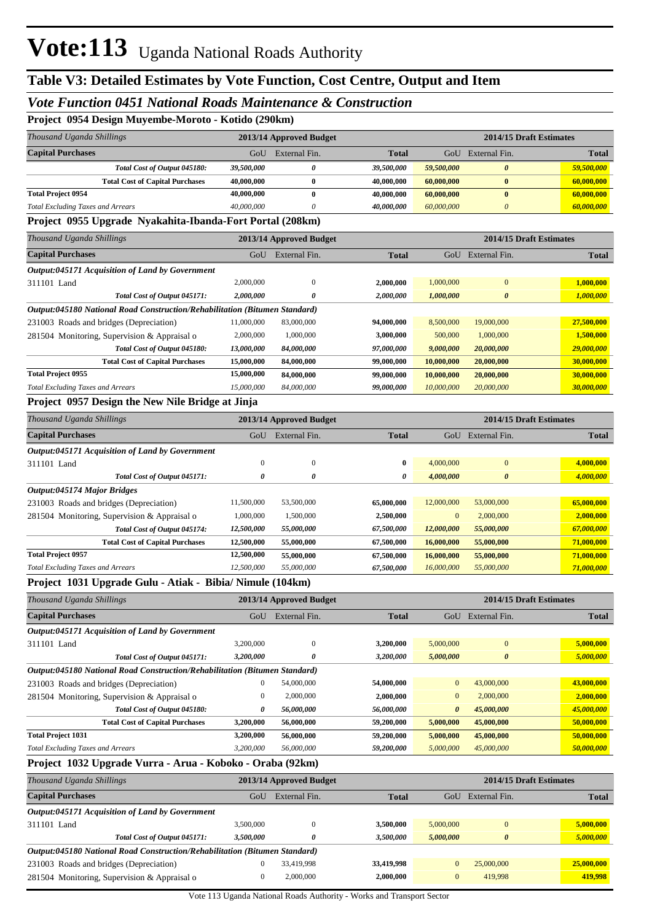## *Vote Function 0451 National Roads Maintenance & Construction*

**Project 0954 Design Muyembe-Moroto - Kotido (290km)**

| Project_0954 Design Muyembe-Moroto - Kotido (290km)                        |                  |                         |              |              |                          |                         |
|----------------------------------------------------------------------------|------------------|-------------------------|--------------|--------------|--------------------------|-------------------------|
| Thousand Uganda Shillings                                                  |                  | 2013/14 Approved Budget |              |              |                          | 2014/15 Draft Estimates |
| <b>Capital Purchases</b>                                                   |                  | GoU External Fin.       | Total        |              | GoU External Fin.        | Total                   |
| Total Cost of Output 045180:                                               | 39,500,000       | $\boldsymbol{\theta}$   | 39,500,000   | 59,500,000   | $\boldsymbol{\theta}$    | 59,500,000              |
| <b>Total Cost of Capital Purchases</b>                                     | 40,000,000       | $\bf{0}$                | 40,000,000   | 60,000,000   | $\bf{0}$                 | 60,000,000              |
| <b>Total Project 0954</b>                                                  | 40,000,000       | $\bf{0}$                | 40,000,000   | 60,000,000   | $\bf{0}$                 | 60,000,000              |
| <b>Total Excluding Taxes and Arrears</b>                                   | 40,000,000       | $\theta$                | 40,000,000   | 60,000,000   | $\theta$                 | 60,000,000              |
| Project 0955 Upgrade Nyakahita-Ibanda-Fort Portal (208km)                  |                  |                         |              |              |                          |                         |
| Thousand Uganda Shillings                                                  |                  | 2013/14 Approved Budget |              |              |                          | 2014/15 Draft Estimates |
| <b>Capital Purchases</b>                                                   |                  | GoU External Fin.       | Total        |              | GoU External Fin.        | <b>Total</b>            |
| Output:045171 Acquisition of Land by Government                            |                  |                         |              |              |                          |                         |
| 311101 Land                                                                | 2,000,000        | $\overline{0}$          | 2,000,000    | 1,000,000    | $\mathbf{0}$             | 1,000,000               |
| Total Cost of Output 045171:                                               | 2,000,000        | O                       | 2,000,000    | 1,000,000    | $\boldsymbol{\theta}$    | 1,000,000               |
| Output:045180 National Road Construction/Rehabilitation (Bitumen Standard) |                  |                         |              |              |                          |                         |
| 231003 Roads and bridges (Depreciation)                                    | 11,000,000       | 83,000,000              | 94,000,000   | 8,500,000    | 19,000,000               | 27,500,000              |
| 281504 Monitoring, Supervision & Appraisal o                               | 2,000,000        | 1,000,000               | 3,000,000    | 500,000      | 1,000,000                | 1,500,000               |
| Total Cost of Output 045180:                                               | 13,000,000       | 84,000,000              | 97,000,000   | 9,000,000    | 20,000,000               | 29,000,000              |
| <b>Total Cost of Capital Purchases</b>                                     | 15,000,000       | 84,000,000              | 99,000,000   | 10,000,000   | 20,000,000               | 30,000,000              |
| <b>Total Project 0955</b>                                                  | 15,000,000       | 84,000,000              | 99,000,000   | 10,000,000   | 20,000,000               | 30,000,000              |
| <b>Total Excluding Taxes and Arrears</b>                                   | 15,000,000       | 84,000,000              | 99,000,000   | 10,000,000   | 20,000,000               | 30,000,000              |
| Project 0957 Design the New Nile Bridge at Jinja                           |                  |                         |              |              |                          |                         |
| Thousand Uganda Shillings                                                  |                  | 2013/14 Approved Budget |              |              |                          | 2014/15 Draft Estimates |
| <b>Capital Purchases</b>                                                   |                  | GoU External Fin.       | <b>Total</b> |              | GoU External Fin.        | <b>Total</b>            |
| Output:045171 Acquisition of Land by Government                            |                  |                         |              |              |                          |                         |
| 311101 Land                                                                | $\boldsymbol{0}$ | $\boldsymbol{0}$        | $\bf{0}$     | 4,000,000    | $\boldsymbol{0}$         | 4,000,000               |
| Total Cost of Output 045171:                                               | 0                | $\boldsymbol{\theta}$   | 0            | 4,000,000    | $\boldsymbol{\theta}$    | 4,000,000               |
| Output:045174 Major Bridges                                                |                  |                         |              |              |                          |                         |
| 231003 Roads and bridges (Depreciation)                                    | 11,500,000       | 53,500,000              | 65,000,000   | 12,000,000   | 53,000,000               | 65,000,000              |
| 281504 Monitoring, Supervision & Appraisal o                               | 1,000,000        | 1,500,000               | 2,500,000    | $\mathbf{0}$ | 2,000,000                | 2,000,000               |
| Total Cost of Output 045174:                                               | 12,500,000       | 55,000,000              | 67,500,000   | 12,000,000   | <i><b>55,000,000</b></i> | 67,000,000              |
| <b>Total Cost of Capital Purchases</b>                                     | 12,500,000       | 55,000,000              | 67,500,000   | 16,000,000   | 55,000,000               | 71,000,000              |

#### **Project 1031 Upgrade Gulu - Atiak - Bibia/ Nimule (104km)**

**Total Project 0957**

| Thousand Uganda Shillings                                                  | 2013/14 Approved Budget |               |              | 2014/15 Draft Estimates |                       |              |  |
|----------------------------------------------------------------------------|-------------------------|---------------|--------------|-------------------------|-----------------------|--------------|--|
| <b>Capital Purchases</b>                                                   | GoU                     | External Fin. | <b>Total</b> | GoU                     | External Fin.         | <b>Total</b> |  |
| Output:045171 Acquisition of Land by Government                            |                         |               |              |                         |                       |              |  |
| 311101 Land                                                                | 3,200,000               | $\mathbf{0}$  | 3.200.000    | 5,000,000               | $\mathbf{0}$          | 5,000,000    |  |
| Total Cost of Output 045171:                                               | 3,200,000               | 0             | 3,200,000    | 5,000,000               | $\boldsymbol{\theta}$ | 5,000,000    |  |
| Output:045180 National Road Construction/Rehabilitation (Bitumen Standard) |                         |               |              |                         |                       |              |  |
| 231003 Roads and bridges (Depreciation)                                    | 0                       | 54,000,000    | 54,000,000   | $\overline{0}$          | 43,000,000            | 43,000,000   |  |
| 281504 Monitoring, Supervision & Appraisal o                               | 0                       | 2,000,000     | 2,000,000    | $\overline{0}$          | 2,000,000             | 2,000,000    |  |
| Total Cost of Output 045180:                                               | 0                       | 56,000,000    | 56,000,000   | $\boldsymbol{\theta}$   | 45,000,000            | 45,000,000   |  |
| <b>Total Cost of Capital Purchases</b>                                     | 3,200,000               | 56,000,000    | 59,200,000   | 5,000,000               | 45,000,000            | 50,000,000   |  |
| <b>Total Project 1031</b>                                                  | 3,200,000               | 56,000,000    | 59,200,000   | 5,000,000               | 45,000,000            | 50,000,000   |  |
| <b>Total Excluding Taxes and Arrears</b>                                   | 3,200,000               | 56,000,000    | 59,200,000   | 5,000,000               | 45,000,000            | 50,000,000   |  |

*Total Excluding Taxes and Arrears 12,500,000 55,000,000 67,500,000 16,000,000 55,000,000 71,000,000*

**12,500,000 55,000,000 67,500,000 16,000,000 55,000,000 71,000,000**

#### **Project 1032 Upgrade Vurra - Arua - Koboko - Oraba (92km)**

| Thousand Uganda Shillings                                                  | 2013/14 Approved Budget |               |              | 2014/15 Draft Estimates |                       |              |  |  |  |  |
|----------------------------------------------------------------------------|-------------------------|---------------|--------------|-------------------------|-----------------------|--------------|--|--|--|--|
| <b>Capital Purchases</b>                                                   | GoU                     | External Fin. | <b>Total</b> | GoU                     | External Fin.         | <b>Total</b> |  |  |  |  |
| <b>Output:045171 Acquisition of Land by Government</b>                     |                         |               |              |                         |                       |              |  |  |  |  |
| 311101 Land                                                                | 3.500,000               | $\Omega$      | 3,500,000    | 5,000,000               | $\Omega$              | 5,000,000    |  |  |  |  |
| Total Cost of Output 045171:                                               | 3,500,000               | 0             | 3,500,000    | 5,000,000               | $\boldsymbol{\theta}$ | 5,000,000    |  |  |  |  |
| Output:045180 National Road Construction/Rehabilitation (Bitumen Standard) |                         |               |              |                         |                       |              |  |  |  |  |
| 231003 Roads and bridges (Depreciation)                                    |                         | 33,419,998    | 33,419,998   | $\Omega$                | 25,000,000            | 25,000,000   |  |  |  |  |
| 281504 Monitoring, Supervision & Appraisal o                               | 0                       | 2,000,000     | 2,000,000    | $\Omega$                | 419,998               | 419,998      |  |  |  |  |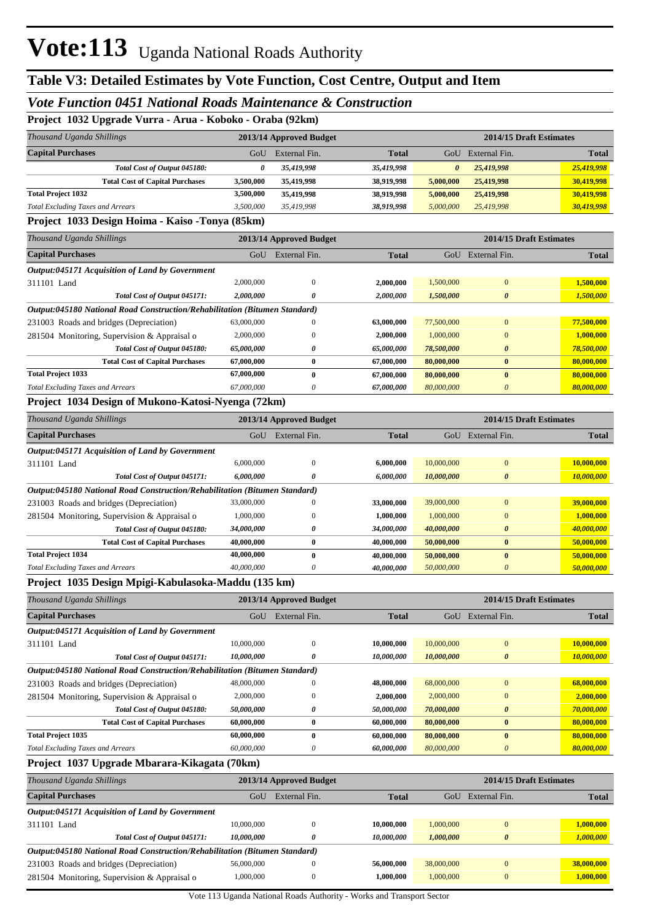#### *Vote Function 0451 National Roads Maintenance & Construction*

#### **Project 1032 Upgrade Vurra - Arua - Koboko - Oraba (92km)**

| Thousand Uganda Shillings                | 2013/14 Approved Budget                         |               |              | 2014/15 Draft Estimates |               |              |  |  |  |  |
|------------------------------------------|-------------------------------------------------|---------------|--------------|-------------------------|---------------|--------------|--|--|--|--|
| <b>Capital Purchases</b>                 | GoU                                             | External Fin. | <b>Total</b> | GoU                     | External Fin. | <b>Total</b> |  |  |  |  |
| Total Cost of Output 045180:             |                                                 | 35,419,998    | 35,419,998   | 0                       | 25,419,998    | 25,419,998   |  |  |  |  |
| <b>Total Cost of Capital Purchases</b>   | 3.500,000                                       | 35,419,998    | 38.919.998   | 5,000,000               | 25,419,998    | 30,419,998   |  |  |  |  |
| <b>Total Project 1032</b>                | 3.500.000                                       | 35,419,998    | 38.919.998   | 5,000,000               | 25,419,998    | 30,419,998   |  |  |  |  |
| <b>Total Excluding Taxes and Arrears</b> | 3.500,000                                       | 35,419,998    | 38.919.998   | 5,000,000               | 25,419,998    | 30,419,998   |  |  |  |  |
|                                          | Project 1033 Design Hoima - Kaiso -Tonya (85km) |               |              |                         |               |              |  |  |  |  |

#### **Project 1033 Design Hoima - Kaiso -Tonya (85km)**

| Thousand Uganda Shillings                                                                                                                         | 2013/14 Approved Budget | 2014/15 Draft Estimates |              |            |                       |              |
|---------------------------------------------------------------------------------------------------------------------------------------------------|-------------------------|-------------------------|--------------|------------|-----------------------|--------------|
| <b>Capital Purchases</b>                                                                                                                          | GoU                     | External Fin.           | <b>Total</b> | GoU        | External Fin.         | <b>Total</b> |
| <b>Output:045171 Acquisition of Land by Government</b>                                                                                            |                         |                         |              |            |                       |              |
| 311101 Land                                                                                                                                       | 2,000,000               | $\Omega$                | 2,000,000    | 1,500,000  | $\Omega$              | 1,500,000    |
| Total Cost of Output 045171:                                                                                                                      | 2,000,000               | 0                       | 2,000,000    | 1,500,000  | $\boldsymbol{\theta}$ | 1,500,000    |
| Output:045180 National Road Construction/Rehabilitation (Bitumen Standard)                                                                        |                         |                         |              |            |                       |              |
| 231003 Roads and bridges (Depreciation)                                                                                                           | 63,000,000              | $\mathbf{0}$            | 63,000,000   | 77,500,000 | $\Omega$              | 77,500,000   |
| 281504 Monitoring, Supervision & Appraisal o                                                                                                      | 2,000,000               | $\mathbf{0}$            | 2,000,000    | 1,000,000  | $\mathbf{0}$          | 1,000,000    |
| Total Cost of Output 045180:                                                                                                                      | 65,000,000              | 0                       | 65,000,000   | 78,500,000 | $\theta$              | 78,500,000   |
| <b>Total Cost of Capital Purchases</b>                                                                                                            | 67,000,000              | $\bf{0}$                | 67,000,000   | 80,000,000 | $\bf{0}$              | 80,000,000   |
| <b>Total Project 1033</b>                                                                                                                         | 67,000,000              | $\bf{0}$                | 67,000,000   | 80,000,000 | $\bf{0}$              | 80,000,000   |
| <b>Total Excluding Taxes and Arrears</b>                                                                                                          | 67,000,000              | 0                       | 67,000,000   | 80,000,000 | 0                     | 80,000,000   |
| $D_{\text{total}}$ $(701 \text{ N}^2)$ $D_{\text{total}}$ $\beta$ $M_{\text{cluster}}$ $V_{\text{total}}$ $N_{\text{current}}$ $(70 \text{ N}^2)$ |                         |                         |              |            |                       |              |

#### **Project 1034 Design of Mukono-Katosi-Nyenga (72km)**

| Thousand Uganda Shillings                                                  | 2013/14 Approved Budget |               |              | 2014/15 Draft Estimates |               |              |
|----------------------------------------------------------------------------|-------------------------|---------------|--------------|-------------------------|---------------|--------------|
| <b>Capital Purchases</b>                                                   | GoU                     | External Fin. | <b>Total</b> | GoU                     | External Fin. | <b>Total</b> |
| Output:045171 Acquisition of Land by Government                            |                         |               |              |                         |               |              |
| 311101 Land                                                                | 6,000,000               | 0             | 6,000,000    | 10,000,000              | $\mathbf{0}$  | 10,000,000   |
| Total Cost of Output 045171:                                               | 6.000.000               | 0             | 6.000.000    | 10,000,000              | $\theta$      | 10,000,000   |
| Output:045180 National Road Construction/Rehabilitation (Bitumen Standard) |                         |               |              |                         |               |              |
| 231003 Roads and bridges (Depreciation)                                    | 33,000,000              | 0             | 33,000,000   | 39,000,000              | $\mathbf{0}$  | 39,000,000   |
| 281504 Monitoring, Supervision & Appraisal o                               | 1,000,000               | 0             | 1,000,000    | 1,000,000               | $\mathbf{0}$  | 1,000,000    |
| Total Cost of Output 045180:                                               | 34,000,000              | 0             | 34,000,000   | 40,000,000              | $\theta$      | 40,000,000   |
| <b>Total Cost of Capital Purchases</b>                                     | 40,000,000              | $\bf{0}$      | 40,000,000   | 50,000,000              | $\mathbf{0}$  | 50,000,000   |
| <b>Total Project 1034</b>                                                  | 40,000,000              | 0             | 40,000,000   | 50,000,000              | $\bf{0}$      | 50,000,000   |
| <b>Total Excluding Taxes and Arrears</b>                                   | 40,000,000              | 0             | 40,000,000   | 50,000,000              | 0             | 50,000,000   |

#### **Project 1035 Design Mpigi-Kabulasoka-Maddu (135 km)**

| Thousand Uganda Shillings                                                  |            | 2013/14 Approved Budget | 2014/15 Draft Estimates |            |                       |              |
|----------------------------------------------------------------------------|------------|-------------------------|-------------------------|------------|-----------------------|--------------|
| <b>Capital Purchases</b>                                                   | GoU        | External Fin.           | <b>Total</b>            | GoU        | External Fin.         | <b>Total</b> |
| Output:045171 Acquisition of Land by Government                            |            |                         |                         |            |                       |              |
| 311101 Land                                                                | 10,000,000 | 0                       | 10,000,000              | 10,000,000 | $\Omega$              | 10,000,000   |
| Total Cost of Output 045171:                                               | 10,000,000 | 0                       | 10,000,000              | 10,000,000 | $\boldsymbol{\theta}$ | 10,000,000   |
| Output:045180 National Road Construction/Rehabilitation (Bitumen Standard) |            |                         |                         |            |                       |              |
| 231003 Roads and bridges (Depreciation)                                    | 48,000,000 | 0                       | 48,000,000              | 68,000,000 | $\Omega$              | 68,000,000   |
| 281504 Monitoring, Supervision & Appraisal o                               | 2,000,000  | 0                       | 2,000,000               | 2,000,000  | $\mathbf{0}$          | 2,000,000    |
| Total Cost of Output 045180:                                               | 50,000,000 | 0                       | 50,000,000              | 70,000,000 | $\boldsymbol{\theta}$ | 70,000,000   |
| <b>Total Cost of Capital Purchases</b>                                     | 60,000,000 | $\bf{0}$                | 60,000,000              | 80,000,000 | $\mathbf{0}$          | 80,000,000   |
| <b>Total Project 1035</b>                                                  | 60,000,000 | $\mathbf{0}$            | 60,000,000              | 80,000,000 | $\mathbf{0}$          | 80,000,000   |
| <b>Total Excluding Taxes and Arrears</b>                                   | 60,000,000 | 0                       | 60.000.000              | 80,000,000 | 0                     | 80,000,000   |

#### **Project 1037 Upgrade Mbarara-Kikagata (70km)**

| Thousand Uganda Shillings                                                  |            | 2013/14 Approved Budget |              | 2014/15 Draft Estimates |               |              |  |
|----------------------------------------------------------------------------|------------|-------------------------|--------------|-------------------------|---------------|--------------|--|
| <b>Capital Purchases</b>                                                   | GoU        | External Fin.           | <b>Total</b> | GoU                     | External Fin. | <b>Total</b> |  |
| <b>Output:045171 Acquisition of Land by Government</b>                     |            |                         |              |                         |               |              |  |
| 311101 Land                                                                | 10,000,000 | $\Omega$                | 10,000,000   | 1,000,000               |               | 1,000,000    |  |
| Total Cost of Output 045171:                                               | 10.000.000 | 0                       | 10.000.000   | 1.000.000               | $\theta$      | 1,000,000    |  |
| Output:045180 National Road Construction/Rehabilitation (Bitumen Standard) |            |                         |              |                         |               |              |  |
| 231003 Roads and bridges (Depreciation)                                    | 56,000,000 | $\Omega$                | 56,000,000   | 38,000,000              |               | 38,000,000   |  |
| 281504 Monitoring, Supervision & Appraisal o                               | 1,000,000  | $\theta$                | 1,000,000    | 1,000,000               |               | 1,000,000    |  |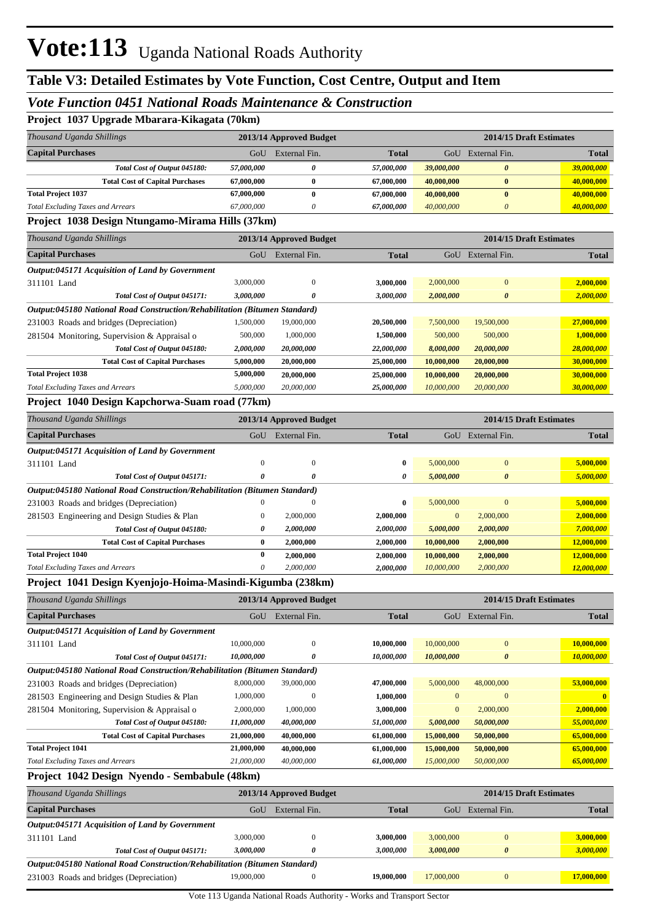#### *Vote Function 0451 National Roads Maintenance & Construction*

**Project 1037 Upgrade Mbarara-Kikagata (70km)**

| Project 1037 Upgrade Mbarara-Kikagata (70km)                               |                  |                         |              |                         |                         |              |
|----------------------------------------------------------------------------|------------------|-------------------------|--------------|-------------------------|-------------------------|--------------|
| Thousand Uganda Shillings                                                  |                  | 2013/14 Approved Budget |              |                         | 2014/15 Draft Estimates |              |
| <b>Capital Purchases</b>                                                   | GoU              | External Fin.           | <b>Total</b> |                         | GoU External Fin.       | <b>Total</b> |
| Total Cost of Output 045180:                                               | 57,000,000       | 0                       | 57,000,000   | 39,000,000              | $\boldsymbol{\theta}$   | 39,000,000   |
| <b>Total Cost of Capital Purchases</b>                                     | 67,000,000       | $\bf{0}$                | 67,000,000   | 40,000,000              | $\bf{0}$                | 40,000,000   |
| <b>Total Project 1037</b>                                                  | 67,000,000       | $\bf{0}$                | 67,000,000   | 40,000,000              | $\bf{0}$                | 40,000,000   |
| <b>Total Excluding Taxes and Arrears</b>                                   | 67,000,000       | $\theta$                | 67,000,000   | 40,000,000              | $\boldsymbol{\theta}$   | 40,000,000   |
| Project 1038 Design Ntungamo-Mirama Hills (37km)                           |                  |                         |              |                         |                         |              |
| Thousand Uganda Shillings                                                  |                  | 2013/14 Approved Budget |              |                         | 2014/15 Draft Estimates |              |
| <b>Capital Purchases</b>                                                   |                  | GoU External Fin.       | <b>Total</b> |                         | GoU External Fin.       | <b>Total</b> |
| Output:045171 Acquisition of Land by Government                            |                  |                         |              |                         |                         |              |
| 311101 Land                                                                | 3,000,000        | $\mathbf{0}$            | 3,000,000    | 2,000,000               | $\mathbf{0}$            | 2,000,000    |
| Total Cost of Output 045171:                                               | 3,000,000        | $\theta$                | 3,000,000    | 2,000,000               | $\boldsymbol{\theta}$   | 2,000,000    |
| Output:045180 National Road Construction/Rehabilitation (Bitumen Standard) |                  |                         |              |                         |                         |              |
| 231003 Roads and bridges (Depreciation)                                    | 1,500,000        | 19,000,000              | 20,500,000   | 7,500,000               | 19,500,000              | 27,000,000   |
| 281504 Monitoring, Supervision & Appraisal o                               | 500,000          | 1,000,000               | 1,500,000    | 500,000                 | 500,000                 | 1,000,000    |
| Total Cost of Output 045180:                                               | 2,000,000        | 20,000,000              | 22,000,000   | 8,000,000               | 20,000,000              | 28,000,000   |
| <b>Total Cost of Capital Purchases</b>                                     | 5,000,000        | 20,000,000              | 25,000,000   | 10,000,000              | 20,000,000              | 30,000,000   |
| <b>Total Project 1038</b>                                                  | 5,000,000        | 20,000,000              | 25,000,000   | 10,000,000              | 20,000,000              | 30,000,000   |
| <b>Total Excluding Taxes and Arrears</b>                                   | 5,000,000        | 20,000,000              | 25,000,000   | 10,000,000              | 20,000,000              | 30,000,000   |
| Project 1040 Design Kapchorwa-Suam road (77km)                             |                  |                         |              |                         |                         |              |
| Thousand Uganda Shillings                                                  |                  | 2013/14 Approved Budget |              | 2014/15 Draft Estimates |                         |              |
| <b>Capital Purchases</b>                                                   | GoU              | External Fin.           | <b>Total</b> |                         | GoU External Fin.       | <b>Total</b> |
| Output:045171 Acquisition of Land by Government                            |                  |                         |              |                         |                         |              |
| 311101 Land                                                                | $\mathbf{0}$     | $\overline{0}$          | $\bf{0}$     | 5,000,000               | $\mathbf{0}$            | 5,000,000    |
| Total Cost of Output 045171:                                               | $\theta$         | $\theta$                | 0            | 5,000,000               | $\boldsymbol{\theta}$   | 5,000,000    |
| Output:045180 National Road Construction/Rehabilitation (Bitumen Standard) |                  |                         |              |                         |                         |              |
| 231003 Roads and bridges (Depreciation)                                    | $\mathbf{0}$     | $\Omega$                | $\bf{0}$     | 5,000,000               | $\overline{0}$          | 5,000,000    |
| 281503 Engineering and Design Studies & Plan                               | $\boldsymbol{0}$ | 2,000,000               | 2,000,000    | $\mathbf{0}$            | 2,000,000               | 2,000,000    |
| Total Cost of Output 045180:                                               | 0                | 2,000,000               | 2,000,000    | 5,000,000               | 2,000,000               | 7,000,000    |
| <b>Total Cost of Capital Purchases</b>                                     | $\bf{0}$         | 2,000,000               | 2,000,000    | 10,000,000              | 2,000,000               | 12,000,000   |
| <b>Total Project 1040</b>                                                  | $\bf{0}$         | 2,000,000               | 2,000,000    | 10,000,000              | 2,000,000               | 12,000,000   |
| <b>Total Excluding Taxes and Arrears</b>                                   | $\theta$         | 2,000,000               | 2,000,000    | 10,000,000              | 2,000,000               | 12,000,000   |
| Project 1041 Design Kyenjojo-Hoima-Masindi-Kigumba (238km)                 |                  |                         |              |                         |                         |              |

| Thousand Uganda Shillings                                                  | 2013/14 Approved Budget |               |                          | 2014/15 Draft Estimates |                       |              |
|----------------------------------------------------------------------------|-------------------------|---------------|--------------------------|-------------------------|-----------------------|--------------|
| <b>Capital Purchases</b>                                                   | GoU                     | External Fin. | <b>Total</b>             | GoU                     | External Fin.         | <b>Total</b> |
| Output:045171 Acquisition of Land by Government                            |                         |               |                          |                         |                       |              |
| 311101 Land                                                                | 10,000,000              | $\Omega$      | 10,000,000               | 10,000,000              | $\overline{0}$        | 10,000,000   |
| Total Cost of Output 045171:                                               | 10,000,000              | 0             | 10,000,000               | 10,000,000              | $\boldsymbol{\theta}$ | 10,000,000   |
| Output:045180 National Road Construction/Rehabilitation (Bitumen Standard) |                         |               |                          |                         |                       |              |
| 231003 Roads and bridges (Depreciation)                                    | 8,000,000               | 39,000,000    | 47,000,000               | 5,000,000               | 48,000,000            | 53,000,000   |
| 281503 Engineering and Design Studies & Plan                               | 1,000,000               | $\Omega$      | 1,000,000                | $\Omega$                | $\theta$              | $\mathbf{0}$ |
| 281504 Monitoring, Supervision & Appraisal o                               | 2,000,000               | 1,000,000     | 3,000,000                | $\overline{0}$          | 2,000,000             | 2,000,000    |
| Total Cost of Output 045180:                                               | 11,000,000              | 40,000,000    | <i><b>51,000,000</b></i> | 5,000,000               | 50,000,000            | 55,000,000   |
| <b>Total Cost of Capital Purchases</b>                                     | 21,000,000              | 40,000,000    | 61,000,000               | 15,000,000              | 50,000,000            | 65,000,000   |
| <b>Total Project 1041</b>                                                  | 21,000,000              | 40,000,000    | 61,000,000               | 15,000,000              | 50,000,000            | 65,000,000   |
| <b>Total Excluding Taxes and Arrears</b>                                   | 21,000,000              | 40,000,000    | 61,000,000               | 15,000,000              | 50,000,000            | 65,000,000   |
| <b>Droiget 1042 Design Nyondo</b> Sembobule (48km)                         |                         |               |                          |                         |                       |              |

#### **Project 1042 Design Nyendo - Sembabule (48km)**

| Thousand Uganda Shillings                                                  |            | 2013/14 Approved Budget |              | 2014/15 Draft Estimates |               |              |  |  |
|----------------------------------------------------------------------------|------------|-------------------------|--------------|-------------------------|---------------|--------------|--|--|
| <b>Capital Purchases</b>                                                   | GoU        | External Fin.           | <b>Total</b> | GoU                     | External Fin. | <b>Total</b> |  |  |
| <b>Output:045171 Acquisition of Land by Government</b>                     |            |                         |              |                         |               |              |  |  |
| 311101 Land                                                                | 3,000,000  | O                       | 3,000,000    | 3,000,000               | $\Omega$      | 3,000,000    |  |  |
| Total Cost of Output 045171:                                               | 3.000.000  |                         | 3,000,000    | 3,000,000               | 0             | 3,000,000    |  |  |
| Output:045180 National Road Construction/Rehabilitation (Bitumen Standard) |            |                         |              |                         |               |              |  |  |
| 231003 Roads and bridges (Depreciation)                                    | 19,000,000 | 0                       | 19,000,000   | 17,000,000              | $\Omega$      | 17,000,000   |  |  |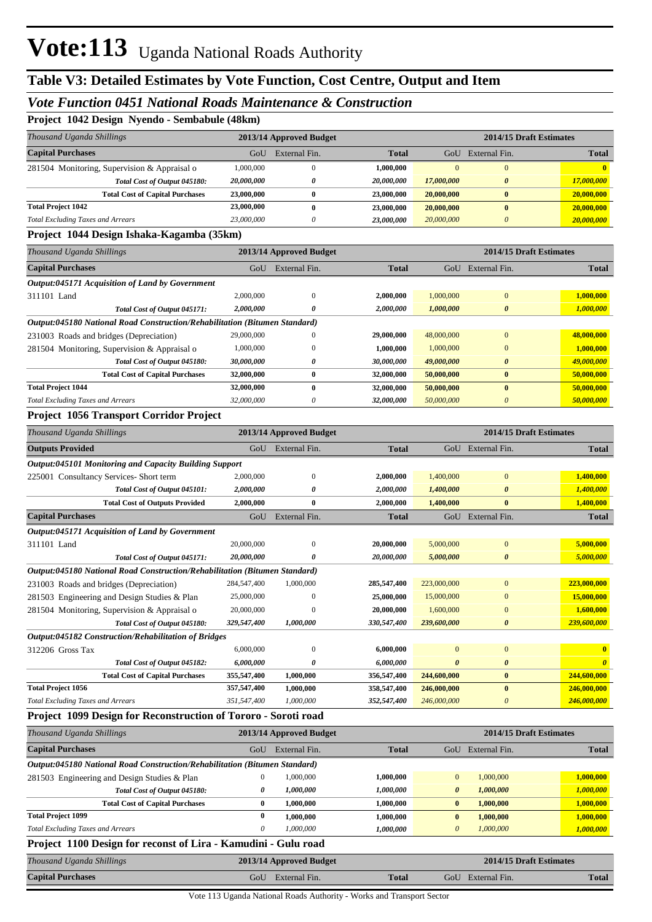#### *Vote Function 0451 National Roads Maintenance & Construction*

**Project 1042 Design Nyendo - Sembabule (48km)**

| Thousand Uganda Shillings                    | 2013/14 Approved Budget |               |              |            |               | 2014/15 Draft Estimates |
|----------------------------------------------|-------------------------|---------------|--------------|------------|---------------|-------------------------|
| <b>Capital Purchases</b>                     | GoU                     | External Fin. | <b>Total</b> | GoU        | External Fin. | <b>Total</b>            |
| 281504 Monitoring, Supervision & Appraisal o | 1.000.000               | $\theta$      | 1,000,000    | $\Omega$   |               |                         |
| Total Cost of Output 045180:                 | 20,000,000              |               | 20,000,000   | 17,000,000 | $\theta$      | 17,000,000              |
| <b>Total Cost of Capital Purchases</b>       | 23,000,000              | 0             | 23,000,000   | 20,000,000 |               | 20,000,000              |
| <b>Total Project 1042</b>                    | 23,000,000              | 0             | 23,000,000   | 20,000,000 |               | 20,000,000              |
| <b>Total Excluding Taxes and Arrears</b>     | 23,000,000              | 0             | 23,000,000   | 20,000,000 |               | 20,000,000              |

#### **Project 1044 Design Ishaka-Kagamba (35km)**

| Thousand Uganda Shillings                                                  |            | 2013/14 Approved Budget |              | 2014/15 Draft Estimates |                       |              |  |
|----------------------------------------------------------------------------|------------|-------------------------|--------------|-------------------------|-----------------------|--------------|--|
| <b>Capital Purchases</b>                                                   | GoU        | External Fin.           | <b>Total</b> | GoU                     | External Fin.         | <b>Total</b> |  |
| Output:045171 Acquisition of Land by Government                            |            |                         |              |                         |                       |              |  |
| 311101 Land                                                                | 2,000,000  | $\mathbf{0}$            | 2,000,000    | 1,000,000               | $\mathbf{0}$          | 1,000,000    |  |
| Total Cost of Output 045171:                                               | 2,000,000  | 0                       | 2,000,000    | 1,000,000               | $\boldsymbol{\theta}$ | 1,000,000    |  |
| Output:045180 National Road Construction/Rehabilitation (Bitumen Standard) |            |                         |              |                         |                       |              |  |
| 231003 Roads and bridges (Depreciation)                                    | 29,000,000 | $\mathbf{0}$            | 29,000,000   | 48,000,000              | $\Omega$              | 48,000,000   |  |
| 281504 Monitoring, Supervision & Appraisal o                               | 1.000.000  | $\Omega$                | 1,000,000    | 1,000,000               | $\Omega$              | 1,000,000    |  |
| Total Cost of Output 045180:                                               | 30,000,000 | 0                       | 30,000,000   | 49,000,000              | $\boldsymbol{\theta}$ | 49,000,000   |  |
| <b>Total Cost of Capital Purchases</b>                                     | 32,000,000 | $\bf{0}$                | 32,000,000   | 50,000,000              | $\bf{0}$              | 50,000,000   |  |
| <b>Total Project 1044</b>                                                  | 32,000,000 | $\bf{0}$                | 32,000,000   | 50,000,000              | $\bf{0}$              | 50,000,000   |  |
| <b>Total Excluding Taxes and Arrears</b>                                   | 32,000,000 | 0                       | 32,000,000   | 50,000,000              | 0                     | 50,000,000   |  |

#### **Project 1056 Transport Corridor Project**

| Thousand Uganda Shillings                                                  | 2013/14 Approved Budget<br>2014/15 Draft Estimates |               |              |             |                       |              |  |
|----------------------------------------------------------------------------|----------------------------------------------------|---------------|--------------|-------------|-----------------------|--------------|--|
| <b>Outputs Provided</b>                                                    | GoU                                                | External Fin. | <b>Total</b> |             | GoU External Fin.     | <b>Total</b> |  |
| <b>Output:045101 Monitoring and Capacity Building Support</b>              |                                                    |               |              |             |                       |              |  |
| 225001 Consultancy Services-Short term                                     | 2,000,000                                          | $\Omega$      | 2,000,000    | 1,400,000   | $\mathbf{0}$          | 1,400,000    |  |
| Total Cost of Output 045101:                                               | 2,000,000                                          | 0             | 2,000,000    | 1,400,000   | $\boldsymbol{\theta}$ | 1,400,000    |  |
| <b>Total Cost of Outputs Provided</b>                                      | 2,000,000                                          | $\bf{0}$      | 2,000,000    | 1,400,000   | $\bf{0}$              | 1,400,000    |  |
| <b>Capital Purchases</b>                                                   | GoU                                                | External Fin. | <b>Total</b> | GoU         | External Fin.         | <b>Total</b> |  |
| Output:045171 Acquisition of Land by Government                            |                                                    |               |              |             |                       |              |  |
| 311101 Land                                                                | 20,000,000                                         | $\Omega$      | 20,000,000   | 5,000,000   | $\mathbf{0}$          | 5,000,000    |  |
| Total Cost of Output 045171:                                               | 20,000,000                                         | 0             | 20,000,000   | 5,000,000   | $\boldsymbol{\theta}$ | 5,000,000    |  |
| Output:045180 National Road Construction/Rehabilitation (Bitumen Standard) |                                                    |               |              |             |                       |              |  |
| 231003 Roads and bridges (Depreciation)                                    | 284,547,400                                        | 1,000,000     | 285,547,400  | 223,000,000 | $\overline{0}$        | 223,000,000  |  |
| 281503 Engineering and Design Studies & Plan                               | 25,000,000                                         | $\Omega$      | 25,000,000   | 15,000,000  | $\Omega$              | 15,000,000   |  |
| 281504 Monitoring, Supervision & Appraisal o                               | 20,000,000                                         | $\Omega$      | 20,000,000   | 1,600,000   | $\mathbf{0}$          | 1,600,000    |  |
| Total Cost of Output 045180:                                               | 329,547,400                                        | 1,000,000     | 330,547,400  | 239,600,000 | $\boldsymbol{\theta}$ | 239,600,000  |  |
| Output:045182 Construction/Rehabilitation of Bridges                       |                                                    |               |              |             |                       |              |  |
| 312206 Gross Tax                                                           | 6,000,000                                          | $\Omega$      | 6,000,000    | $\Omega$    | $\mathbf{0}$          |              |  |
| Total Cost of Output 045182:                                               | 6,000,000                                          | O             | 6,000,000    | $\theta$    | $\boldsymbol{\theta}$ |              |  |
| <b>Total Cost of Capital Purchases</b>                                     | 355,547,400                                        | 1,000,000     | 356,547,400  | 244,600,000 | $\bf{0}$              | 244,600,000  |  |
| <b>Total Project 1056</b>                                                  | 357,547,400                                        | 1,000,000     | 358,547,400  | 246,000,000 | $\mathbf{0}$          | 246,000,000  |  |
| <b>Total Excluding Taxes and Arrears</b>                                   | 351,547,400                                        | 1,000,000     | 352,547,400  | 246,000,000 | 0                     | 246,000,000  |  |

#### **Project 1099 Design for Reconstruction of Tororo - Soroti road**

| Thousand Uganda Shillings                                                  |     | 2013/14 Approved Budget |              |              |               | 2014/15 Draft Estimates |  |  |
|----------------------------------------------------------------------------|-----|-------------------------|--------------|--------------|---------------|-------------------------|--|--|
| <b>Capital Purchases</b>                                                   | GoU | External Fin.           | <b>Total</b> | GoU          | External Fin. | <b>Total</b>            |  |  |
| Output:045180 National Road Construction/Rehabilitation (Bitumen Standard) |     |                         |              |              |               |                         |  |  |
| 281503 Engineering and Design Studies & Plan                               |     | 1,000,000               | 1,000,000    | $\Omega$     | 1,000,000     | 1,000,000               |  |  |
| Total Cost of Output 045180:                                               | 0   | 1,000,000               | 1,000,000    | $\theta$     | 1,000,000     | 1,000,000               |  |  |
| <b>Total Cost of Capital Purchases</b>                                     | 0   | 1,000,000               | 1,000,000    | $\bf{0}$     | 1,000,000     | 1,000,000               |  |  |
| <b>Total Project 1099</b>                                                  | 0   | 1.000.000               | 1,000,000    | $\mathbf{0}$ | 1,000,000     | 1,000,000               |  |  |
| <b>Total Excluding Taxes and Arrears</b>                                   | 0   | 1.000.000               | 1,000,000    | $\theta$     | 1,000,000     | 1,000,000               |  |  |
| Project 1100 Design for reconst of Lira - Kamudini - Gulu road             |     |                         |              |              |               |                         |  |  |
| Thousand Uganda Shillings                                                  |     | 2013/14 Approved Budget |              |              |               | 2014/15 Draft Estimates |  |  |
| <b>Capital Purchases</b>                                                   | GoU | External Fin.           | <b>Total</b> | GoU          | External Fin. | <b>Total</b>            |  |  |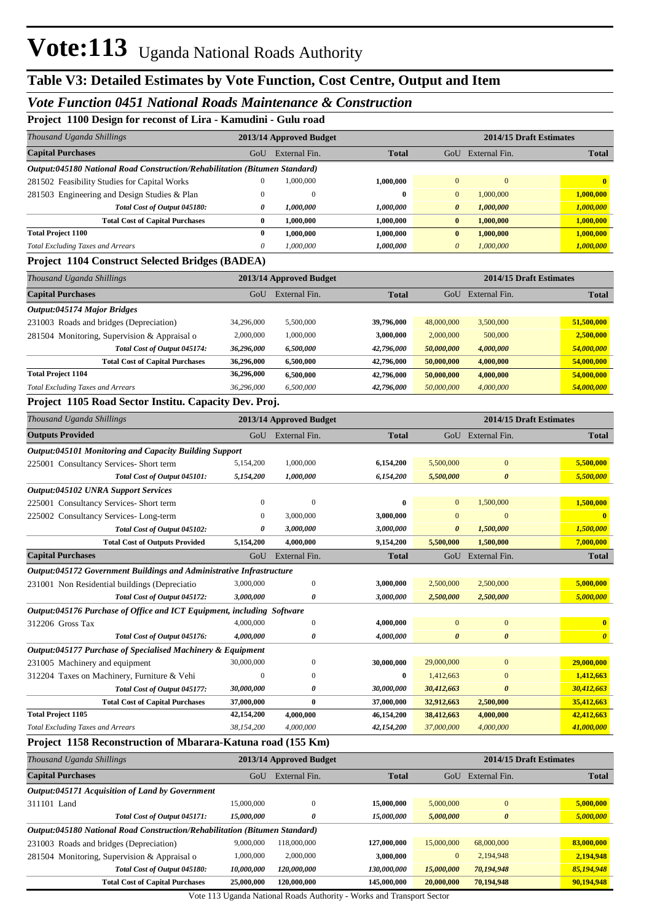#### *Vote Function 0451 National Roads Maintenance & Construction*

**Project 1100 Design for reconst of Lira - Kamudini - Gulu road**

| ттојесе ттоо везда тог тесоизе от пла - капишни - сништоач<br>Thousand Uganda Shillings |                        | 2013/14 Approved Budget |                        |                                       |                       | 2014/15 Draft Estimates               |
|-----------------------------------------------------------------------------------------|------------------------|-------------------------|------------------------|---------------------------------------|-----------------------|---------------------------------------|
| <b>Capital Purchases</b>                                                                | GoU                    | External Fin.           | <b>Total</b>           |                                       | GoU External Fin.     | <b>Total</b>                          |
| Output:045180 National Road Construction/Rehabilitation (Bitumen Standard)              |                        |                         |                        |                                       |                       |                                       |
| 281502 Feasibility Studies for Capital Works                                            | $\mathbf{0}$           | 1,000,000               | 1,000,000              | $\mathbf{0}$                          | $\mathbf{0}$          | $\bf{0}$                              |
| 281503 Engineering and Design Studies & Plan                                            | $\boldsymbol{0}$       | $\mathbf{0}$            | $\bf{0}$               | $\mathbf{0}$                          | 1,000,000             | 1,000,000                             |
| Total Cost of Output 045180:                                                            | 0                      | 1,000,000               | 1,000,000              | $\boldsymbol{\theta}$                 | 1,000,000             | 1,000,000                             |
| <b>Total Cost of Capital Purchases</b>                                                  | $\bf{0}$               | 1,000,000               | 1,000,000              | $\bf{0}$                              | 1,000,000             | 1,000,000                             |
| <b>Total Project 1100</b>                                                               | $\bf{0}$               | 1,000,000               | 1,000,000              | $\bf{0}$                              | 1,000,000             | 1,000,000                             |
| <b>Total Excluding Taxes and Arrears</b>                                                | $\theta$               | 1,000,000               | 1,000,000              | $\boldsymbol{\theta}$                 | 1,000,000             | 1,000,000                             |
| <b>Project 1104 Construct Selected Bridges (BADEA)</b>                                  |                        |                         |                        |                                       |                       |                                       |
| Thousand Uganda Shillings                                                               |                        | 2013/14 Approved Budget |                        |                                       |                       | 2014/15 Draft Estimates               |
| <b>Capital Purchases</b>                                                                | GoU                    | External Fin.           | <b>Total</b>           |                                       | GoU External Fin.     | <b>Total</b>                          |
| Output:045174 Major Bridges                                                             |                        |                         |                        |                                       |                       |                                       |
| 231003 Roads and bridges (Depreciation)                                                 | 34,296,000             | 5,500,000               | 39,796,000             | 48,000,000                            | 3,500,000             | 51,500,000                            |
| 281504 Monitoring, Supervision & Appraisal o                                            | 2,000,000              | 1,000,000               | 3,000,000              | 2,000,000                             | 500,000               | 2,500,000                             |
| Total Cost of Output 045174:                                                            | 36,296,000             | 6,500,000               | 42,796,000             | 50,000,000                            | 4,000,000             | 54,000,000                            |
| <b>Total Cost of Capital Purchases</b>                                                  | 36,296,000             | 6,500,000               | 42,796,000             | 50,000,000                            | 4,000,000             | 54,000,000                            |
| <b>Total Project 1104</b>                                                               | 36,296,000             | 6,500,000               | 42,796,000             | 50,000,000                            | 4,000,000             | 54,000,000                            |
| <b>Total Excluding Taxes and Arrears</b>                                                | 36,296,000             | 6,500,000               | 42,796,000             | 50,000,000                            | 4,000,000             | 54,000,000                            |
| Project 1105 Road Sector Institu. Capacity Dev. Proj.                                   |                        |                         |                        |                                       |                       |                                       |
| Thousand Uganda Shillings                                                               |                        | 2013/14 Approved Budget |                        |                                       |                       | 2014/15 Draft Estimates               |
| <b>Outputs Provided</b>                                                                 | GoU                    | External Fin.           | <b>Total</b>           |                                       | GoU External Fin.     | <b>Total</b>                          |
| Output:045101 Monitoring and Capacity Building Support                                  |                        |                         |                        |                                       |                       |                                       |
| 225001 Consultancy Services- Short term                                                 | 5,154,200              | 1,000,000               | 6,154,200              | 5,500,000                             | $\bf{0}$              | 5,500,000                             |
| Total Cost of Output 045101:                                                            | 5,154,200              | 1,000,000               | 6,154,200              | 5,500,000                             | 0                     | 5,500,000                             |
| Output:045102 UNRA Support Services                                                     |                        |                         |                        |                                       |                       |                                       |
| 225001 Consultancy Services- Short term                                                 | $\boldsymbol{0}$       | $\boldsymbol{0}$        | 0                      | $\mathbf{0}$                          | 1,500,000             | 1,500,000                             |
| 225002 Consultancy Services-Long-term                                                   | $\mathbf{0}$           | 3,000,000               | 3,000,000              | $\mathbf{0}$                          | $\mathbf{0}$          | $\bf{0}$                              |
| Total Cost of Output 045102:                                                            | 0                      | 3,000,000               | 3,000,000              | $\boldsymbol{\theta}$                 | 1,500,000             | 1,500,000                             |
| <b>Total Cost of Outputs Provided</b>                                                   | 5,154,200              | 4,000,000               | 9,154,200              | 5,500,000                             | 1,500,000             | 7,000,000                             |
| <b>Capital Purchases</b>                                                                | GoU                    | External Fin.           | <b>Total</b>           | GoU                                   | External Fin.         | <b>Total</b>                          |
| Output:045172 Government Buildings and Administrative Infrastructure                    |                        |                         |                        |                                       |                       |                                       |
| 231001 Non Residential buildings (Depreciatio                                           | 3,000,000              | $\boldsymbol{0}$        | 3,000,000              | 2,500,000                             | 2,500,000             | 5,000,000                             |
| Total Cost of Output 045172:                                                            | 3,000,000              | 0                       | 3,000,000              | 2,500,000                             | 2,500,000             | 5,000,000                             |
| Output:045176 Purchase of Office and ICT Equipment, including Software                  |                        |                         |                        |                                       |                       |                                       |
| 312206 Gross Tax<br>Total Cost of Output 045176:                                        | 4,000,000<br>4,000,000 | $\boldsymbol{0}$<br>0   | 4,000,000<br>4,000,000 | $\mathbf{0}$<br>$\boldsymbol{\theta}$ | $\boldsymbol{0}$<br>0 | $\mathbf{0}$<br>$\boldsymbol{\theta}$ |
| Output:045177 Purchase of Specialised Machinery & Equipment                             |                        |                         |                        |                                       |                       |                                       |
| 231005 Machinery and equipment                                                          | 30,000,000             | $\boldsymbol{0}$        | 30,000,000             | 29,000,000                            | $\boldsymbol{0}$      | 29,000,000                            |
| 312204 Taxes on Machinery, Furniture & Vehi                                             | $\boldsymbol{0}$       | $\boldsymbol{0}$        | 0                      | 1,412,663                             | $\boldsymbol{0}$      | 1,412,663                             |
| Total Cost of Output 045177:                                                            | 30,000,000             | 0                       | 30,000,000             | 30,412,663                            | 0                     | 30,412,663                            |
| <b>Total Cost of Capital Purchases</b>                                                  | 37,000,000             | $\bf{0}$                | 37,000,000             | 32,912,663                            | 2,500,000             | 35,412,663                            |
| <b>Total Project 1105</b>                                                               | 42,154,200             | 4,000,000               | 46,154,200             | 38,412,663                            | 4,000,000             | 42,412,663                            |
| <b>Total Excluding Taxes and Arrears</b>                                                | 38,154,200             | 4,000,000               | 42,154,200             | 37,000,000                            | 4,000,000             | <u>41,000,000</u>                     |
| Project 1158 Reconstruction of Mbarara-Katuna road (155 Km)                             |                        |                         |                        |                                       |                       |                                       |
| Thousand Uganda Shillings                                                               |                        | 2013/14 Approved Budget |                        |                                       |                       | 2014/15 Draft Estimates               |

| <b>Capital Purchases</b>                                                   | GoU        | External Fin. | <b>Total</b>       | GoU            | External Fin.         | <b>Total</b> |
|----------------------------------------------------------------------------|------------|---------------|--------------------|----------------|-----------------------|--------------|
| Output:045171 Acquisition of Land by Government                            |            |               |                    |                |                       |              |
| 311101 Land                                                                | 15.000.000 | $\mathbf{0}$  | 15,000,000         | 5,000,000      | $\Omega$              | 5,000,000    |
| Total Cost of Output 045171:                                               | 15,000,000 | 0             | 15,000,000         | 5,000,000      | $\boldsymbol{\theta}$ | 5,000,000    |
| Output:045180 National Road Construction/Rehabilitation (Bitumen Standard) |            |               |                    |                |                       |              |
| 231003 Roads and bridges (Depreciation)                                    | 9.000.000  | 118,000,000   | 127,000,000        | 15,000,000     | 68,000,000            | 83,000,000   |
| 281504 Monitoring, Supervision & Appraisal o                               | 1.000.000  | 2,000,000     | 3,000,000          | $\overline{0}$ | 2,194,948             | 2,194,948    |
| Total Cost of Output 045180:                                               | 10.000.000 | 120,000,000   | <i>130,000,000</i> | 15,000,000     | 70,194,948            | 85,194,948   |
| <b>Total Cost of Capital Purchases</b>                                     | 25,000,000 | 120,000,000   | 145,000,000        | 20,000,000     | 70,194,948            | 90,194,948   |

Vote 113 Uganda National Roads Authority - Works and Transport Sector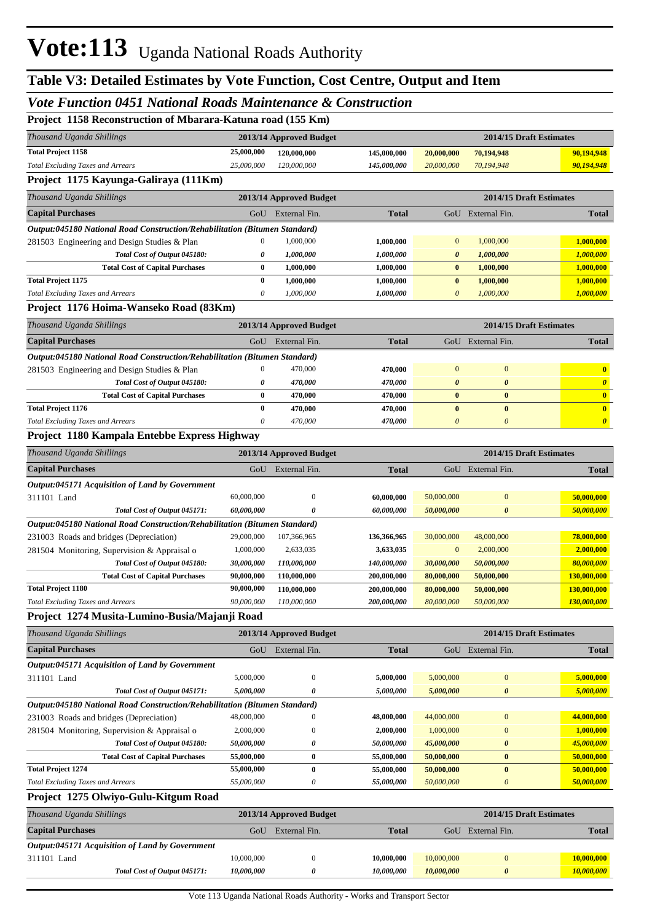## **Table V3: Detailed Estimates by Vote Function, Cost Centre, Output and Item**

#### *Vote Function 0451 National Roads Maintenance & Construction*

|  |  |  | Project 1158 Reconstruction of Mbarara-Katuna road (155 Km) |  |  |  |  |
|--|--|--|-------------------------------------------------------------|--|--|--|--|
|--|--|--|-------------------------------------------------------------|--|--|--|--|

| Toject Treo Reconstruction of mourant ratitude Four (Tee Rin)                                              |                          |                                       |                          |                                   |                                       |                                       |
|------------------------------------------------------------------------------------------------------------|--------------------------|---------------------------------------|--------------------------|-----------------------------------|---------------------------------------|---------------------------------------|
| Thousand Uganda Shillings                                                                                  |                          | 2013/14 Approved Budget               |                          |                                   | 2014/15 Draft Estimates               |                                       |
| <b>Total Project 1158</b>                                                                                  | 25,000,000               | 120,000,000                           | 145,000,000              | 20,000,000                        | 70,194,948                            | 90,194,948                            |
| <b>Total Excluding Taxes and Arrears</b>                                                                   | 25,000,000               | 120,000,000                           | 145,000,000              | 20,000,000                        | 70,194,948                            | 90,194,948                            |
| Project 1175 Kayunga-Galiraya (111Km)                                                                      |                          |                                       |                          |                                   |                                       |                                       |
| Thousand Uganda Shillings                                                                                  |                          | 2013/14 Approved Budget               |                          |                                   | 2014/15 Draft Estimates               |                                       |
| <b>Capital Purchases</b>                                                                                   | GoU                      | External Fin.                         | <b>Total</b>             |                                   | GoU External Fin.                     | <b>Total</b>                          |
| Output:045180 National Road Construction/Rehabilitation (Bitumen Standard)                                 |                          |                                       |                          |                                   |                                       |                                       |
| 281503 Engineering and Design Studies & Plan                                                               | 0                        | 1,000,000                             | 1,000,000                | $\boldsymbol{0}$                  | 1,000,000                             | 1,000,000                             |
| Total Cost of Output 045180:                                                                               | 0                        | 1,000,000                             | 1,000,000                | $\boldsymbol{\theta}$             | 1,000,000                             | 1,000,000                             |
| <b>Total Cost of Capital Purchases</b>                                                                     | 0                        | 1,000,000                             | 1,000,000                | $\bf{0}$                          | 1,000,000                             | 1,000,000                             |
| <b>Total Project 1175</b>                                                                                  | 0                        | 1,000,000                             | 1,000,000                | $\pmb{0}$                         | 1,000,000                             | 1,000,000                             |
| <b>Total Excluding Taxes and Arrears</b>                                                                   | 0                        | 1,000,000                             | 1,000,000                | $\boldsymbol{\theta}$             | 1,000,000                             | 1,000,000                             |
| Project 1176 Hoima-Wanseko Road (83Km)                                                                     |                          |                                       |                          |                                   |                                       |                                       |
| Thousand Uganda Shillings                                                                                  |                          | 2013/14 Approved Budget               |                          |                                   | 2014/15 Draft Estimates               |                                       |
| <b>Capital Purchases</b>                                                                                   |                          | GoU External Fin.                     | <b>Total</b>             |                                   | GoU External Fin.                     | <b>Total</b>                          |
| Output:045180 National Road Construction/Rehabilitation (Bitumen Standard)                                 |                          |                                       |                          |                                   |                                       |                                       |
| 281503 Engineering and Design Studies & Plan                                                               | $\boldsymbol{0}$         | 470,000                               | 470,000                  | $\mathbf{0}$                      | $\mathbf{0}$                          | $\bf{0}$                              |
| Total Cost of Output 045180:                                                                               | 0                        | 470,000                               | 470,000                  | $\boldsymbol{\theta}$             | $\boldsymbol{\theta}$                 | $\boldsymbol{\theta}$                 |
| <b>Total Cost of Capital Purchases</b>                                                                     | 0<br>$\bf{0}$            | 470,000                               | 470,000                  | $\bf{0}$                          | $\bf{0}$                              | $\mathbf{0}$                          |
| <b>Total Project 1176</b><br><b>Total Excluding Taxes and Arrears</b>                                      | 0                        | 470,000<br>470,000                    | 470,000<br>470,000       | $\bf{0}$<br>$\boldsymbol{\theta}$ | $\bf{0}$<br>$\boldsymbol{\theta}$     | $\mathbf{0}$<br>$\boldsymbol{\theta}$ |
| Project 1180 Kampala Entebbe Express Highway                                                               |                          |                                       |                          |                                   |                                       |                                       |
|                                                                                                            |                          |                                       |                          |                                   |                                       |                                       |
| Thousand Uganda Shillings                                                                                  |                          | 2013/14 Approved Budget               |                          |                                   | 2014/15 Draft Estimates               |                                       |
| <b>Capital Purchases</b>                                                                                   | GoU                      | External Fin.                         | <b>Total</b>             |                                   | GoU External Fin.                     | <b>Total</b>                          |
| Output:045171 Acquisition of Land by Government                                                            |                          |                                       |                          |                                   |                                       |                                       |
| 311101 Land                                                                                                | 60,000,000<br>60,000,000 | $\boldsymbol{0}$<br>0                 | 60,000,000<br>60,000,000 | 50,000,000<br>50,000,000          | $\mathbf{0}$<br>$\boldsymbol{\theta}$ | 50,000,000<br>50,000,000              |
| Total Cost of Output 045171:<br>Output:045180 National Road Construction/Rehabilitation (Bitumen Standard) |                          |                                       |                          |                                   |                                       |                                       |
| 231003 Roads and bridges (Depreciation)                                                                    | 29,000,000               | 107,366,965                           | 136,366,965              | 30,000,000                        | 48,000,000                            | 78,000,000                            |
| 281504 Monitoring, Supervision & Appraisal o                                                               | 1,000,000                | 2,633,035                             | 3,633,035                | $\mathbf{0}$                      | 2,000,000                             | 2,000,000                             |
| Total Cost of Output 045180:                                                                               | 30,000,000               | 110,000,000                           | 140,000,000              | 30,000,000                        | 50,000,000                            | 80,000,000                            |
| <b>Total Cost of Capital Purchases</b>                                                                     | 90,000,000               | 110,000,000                           | 200,000,000              | 80,000,000                        | 50,000,000                            | 130,000,000                           |
| <b>Total Project 1180</b>                                                                                  | 90,000,000               | 110,000,000                           | 200,000,000              | 80,000,000                        | 50,000,000                            | 130,000,000                           |
| <b>Total Excluding Taxes and Arrears</b>                                                                   | 90,000,000               | 110,000,000                           | 200,000,000              | 80,000,000                        | 50,000,000                            | 130,000,000                           |
| Project 1274 Musita-Lumino-Busia/Majanji Road                                                              |                          |                                       |                          |                                   |                                       |                                       |
| Thousand Uganda Shillings                                                                                  |                          | 2013/14 Approved Budget               |                          |                                   | 2014/15 Draft Estimates               |                                       |
| <b>Capital Purchases</b>                                                                                   |                          | GoU External Fin.                     | <b>Total</b>             |                                   | GoU External Fin.                     | <b>Total</b>                          |
| Output:045171 Acquisition of Land by Government                                                            |                          |                                       |                          |                                   |                                       |                                       |
| 311101 Land                                                                                                | 5,000,000                | $\boldsymbol{0}$                      | 5,000,000                | 5,000,000                         | $\mathbf{0}$                          | 5,000,000                             |
| Total Cost of Output 045171:                                                                               | 5,000,000                | 0                                     | 5,000,000                | 5,000,000                         | $\boldsymbol{\theta}$                 | 5,000,000                             |
| Output:045180 National Road Construction/Rehabilitation (Bitumen Standard)                                 |                          |                                       |                          |                                   |                                       |                                       |
| 231003 Roads and bridges (Depreciation)                                                                    | 48,000,000               | $\mathbf{0}$                          | 48,000,000               | 44,000,000                        | $\mathbf{0}$                          | 44,000,000                            |
| 281504 Monitoring, Supervision & Appraisal o                                                               | 2,000,000                | $\boldsymbol{0}$                      | 2,000,000                | 1,000,000                         | $\mathbf{0}$                          | 1,000,000                             |
| Total Cost of Output 045180:                                                                               | 50,000,000               | 0                                     | 50,000,000               | 45,000,000                        | $\boldsymbol{\theta}$                 | 45,000,000                            |
| <b>Total Cost of Capital Purchases</b>                                                                     | 55,000,000               | $\boldsymbol{0}$                      | 55,000,000               | 50,000,000                        | $\bf{0}$                              | 50,000,000                            |
| <b>Total Project 1274</b><br><b>Total Excluding Taxes and Arrears</b>                                      | 55,000,000<br>55,000,000 | $\bf{0}$<br>$\boldsymbol{\mathit{0}}$ | 55,000,000<br>55,000,000 | 50,000,000<br>50,000,000          | $\bf{0}$<br>$\boldsymbol{\theta}$     | 50,000,000<br>50,000,000              |
| Project 1275 Olwiyo-Gulu-Kitgum Road                                                                       |                          |                                       |                          |                                   |                                       |                                       |
|                                                                                                            |                          |                                       |                          |                                   |                                       |                                       |
| Thousand Uganda Shillings                                                                                  |                          | 2013/14 Approved Budget               |                          |                                   | 2014/15 Draft Estimates               |                                       |
| <b>Capital Purchases</b>                                                                                   | GoU                      | External Fin.                         | <b>Total</b>             |                                   | GoU External Fin.                     | <b>Total</b>                          |
| Output:045171 Acquisition of Land by Government                                                            |                          |                                       |                          |                                   |                                       |                                       |
| 311101 Land                                                                                                | 10,000,000               | $\boldsymbol{0}$                      | 10,000,000               | 10,000,000                        | $\bf{0}$                              | 10,000,000                            |
| Total Cost of Output 045171:                                                                               | 10,000,000               | $\boldsymbol{\theta}$                 | 10,000,000               | 10,000,000                        | $\boldsymbol{\theta}$                 | 10,000,000                            |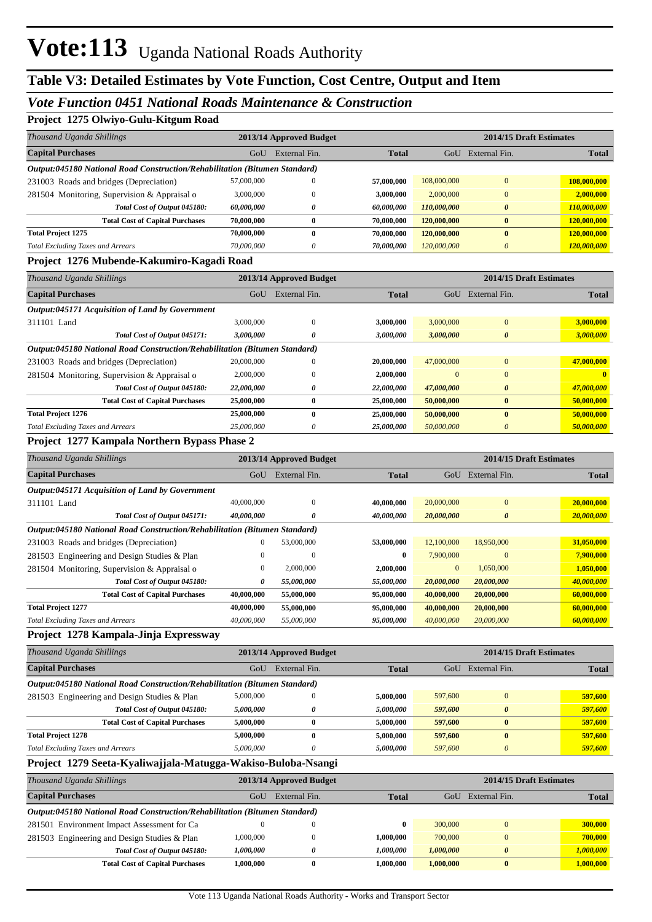#### *Vote Function 0451 National Roads Maintenance & Construction*

#### **Project 1275 Olwiyo-Gulu-Kitgum Road**

| 110JUU 1275 OIMIYO-GUIU-ISIU UU INDAG                                      |                  |                         |              |              |                         |              |
|----------------------------------------------------------------------------|------------------|-------------------------|--------------|--------------|-------------------------|--------------|
| Thousand Uganda Shillings                                                  |                  | 2013/14 Approved Budget |              |              | 2014/15 Draft Estimates |              |
| <b>Capital Purchases</b>                                                   | GoU              | External Fin.           | <b>Total</b> |              | GoU External Fin.       | <b>Total</b> |
| Output:045180 National Road Construction/Rehabilitation (Bitumen Standard) |                  |                         |              |              |                         |              |
| 231003 Roads and bridges (Depreciation)                                    | 57,000,000       | $\mathbf{0}$            | 57,000,000   | 108,000,000  | $\mathbf{0}$            | 108,000,000  |
| 281504 Monitoring, Supervision & Appraisal o                               | 3,000,000        | $\Omega$                | 3,000,000    | 2,000,000    | $\overline{0}$          | 2,000,000    |
| Total Cost of Output 045180:                                               | 60,000,000       | 0                       | 60,000,000   | 110,000,000  | $\theta$                | 110,000,000  |
| <b>Total Cost of Capital Purchases</b>                                     | 70,000,000       | $\bf{0}$                | 70,000,000   | 120,000,000  | $\bf{0}$                | 120,000,000  |
| <b>Total Project 1275</b>                                                  | 70,000,000       | $\bf{0}$                | 70,000,000   | 120,000,000  | $\bf{0}$                | 120,000,000  |
| <b>Total Excluding Taxes and Arrears</b>                                   | 70,000,000       | 0                       | 70,000,000   | 120,000,000  | $\boldsymbol{\theta}$   | 120,000,000  |
| Project 1276 Mubende-Kakumiro-Kagadi Road                                  |                  |                         |              |              |                         |              |
| Thousand Uganda Shillings                                                  |                  | 2013/14 Approved Budget |              |              | 2014/15 Draft Estimates |              |
| <b>Capital Purchases</b>                                                   |                  | GoU External Fin.       | <b>Total</b> |              | GoU External Fin.       | <b>Total</b> |
| Output:045171 Acquisition of Land by Government                            |                  |                         |              |              |                         |              |
| 311101 Land                                                                | 3,000,000        | $\mathbf{0}$            | 3,000,000    | 3,000,000    | $\mathbf{0}$            | 3,000,000    |
| Total Cost of Output 045171:                                               | 3,000,000        | 0                       | 3,000,000    | 3,000,000    | $\boldsymbol{\theta}$   | 3,000,000    |
| Output:045180 National Road Construction/Rehabilitation (Bitumen Standard) |                  |                         |              |              |                         |              |
| 231003 Roads and bridges (Depreciation)                                    | 20,000,000       | $\Omega$                | 20,000,000   | 47,000,000   | $\overline{0}$          | 47,000,000   |
| 281504 Monitoring, Supervision & Appraisal o                               | 2,000,000        | $\boldsymbol{0}$        | 2,000,000    | $\mathbf{0}$ | $\overline{0}$          | $\mathbf{0}$ |
| Total Cost of Output 045180:                                               | 22,000,000       | 0                       | 22,000,000   | 47,000,000   | $\boldsymbol{\theta}$   | 47,000,000   |
| <b>Total Cost of Capital Purchases</b>                                     | 25,000,000       | $\bf{0}$                | 25,000,000   | 50,000,000   | $\bf{0}$                | 50,000,000   |
| <b>Total Project 1276</b>                                                  | 25,000,000       | $\bf{0}$                | 25,000,000   | 50,000,000   | $\bf{0}$                | 50,000,000   |
| <b>Total Excluding Taxes and Arrears</b>                                   | 25,000,000       | $\theta$                | 25,000,000   | 50,000,000   | $\boldsymbol{\theta}$   | 50,000,000   |
| Project 1277 Kampala Northern Bypass Phase 2                               |                  |                         |              |              |                         |              |
| Thousand Uganda Shillings                                                  |                  | 2013/14 Approved Budget |              |              | 2014/15 Draft Estimates |              |
| <b>Capital Purchases</b>                                                   | GoU              | External Fin.           | <b>Total</b> |              | GoU External Fin.       | <b>Total</b> |
| <b>Output:045171 Acquisition of Land by Government</b>                     |                  |                         |              |              |                         |              |
| 311101 Land                                                                | 40,000,000       | $\mathbf{0}$            | 40,000,000   | 20,000,000   | $\mathbf{0}$            | 20,000,000   |
| Total Cost of Output 045171:                                               | 40,000,000       | 0                       | 40,000,000   | 20,000,000   | $\boldsymbol{\theta}$   | 20,000,000   |
| Output:045180 National Road Construction/Rehabilitation (Bitumen Standard) |                  |                         |              |              |                         |              |
| 231003 Roads and bridges (Depreciation)                                    | $\boldsymbol{0}$ | 53,000,000              | 53,000,000   | 12,100,000   | 18,950,000              | 31,050,000   |
| 281503 Engineering and Design Studies & Plan                               | $\boldsymbol{0}$ | $\boldsymbol{0}$        | $\bf{0}$     | 7,900,000    | $\mathbf{0}$            | 7,900,000    |
| 281504 Monitoring, Supervision & Appraisal o                               | $\boldsymbol{0}$ | 2,000,000               | 2,000,000    | $\mathbf{0}$ | 1,050,000               | 1,050,000    |
| Total Cost of Output 045180:                                               | 0                | 55,000,000              | 55,000,000   | 20,000,000   | 20,000,000              | 40,000,000   |
| <b>Total Cost of Capital Purchases</b>                                     | 40,000,000       | 55,000,000              | 95,000,000   | 40,000,000   | 20,000,000              | 60,000,000   |
| <b>Total Project 1277</b>                                                  | 40,000,000       | 55,000,000              | 95,000,000   | 40,000,000   | 20,000,000              | 60,000,000   |
| <b>Total Excluding Taxes and Arrears</b>                                   | 40,000,000       | 55,000,000              | 95,000,000   | 40,000,000   | 20,000,000              | 60,000,000   |
| Project 1278 Kampala-Jinja Expressway                                      |                  |                         |              |              |                         |              |
| Thousand Uganda Shillings                                                  |                  | 2013/14 Approved Budget |              |              | 2014/15 Draft Estimates |              |
| <b>Capital Purchases</b>                                                   | GoU              | External Fin.           | <b>Total</b> |              | GoU External Fin.       | <b>Total</b> |
| Output:045180 National Road Construction/Rehabilitation (Bitumen Standard) |                  |                         |              |              |                         |              |
| 281503 Engineering and Design Studies & Plan                               | 5,000,000        | $\boldsymbol{0}$        | 5,000,000    | 597,600      | $\boldsymbol{0}$        | 597,600      |
| Total Cost of Output 045180:                                               | 5,000,000        | 0                       | 5,000,000    | 597,600      | $\boldsymbol{\theta}$   | 597,600      |
| <b>Total Cost of Capital Purchases</b>                                     | 5,000,000        | $\bf{0}$                | 5,000,000    | 597,600      | $\bf{0}$                | 597,600      |
| <b>Total Project 1278</b>                                                  | 5,000,000        | $\bf{0}$                | 5,000,000    | 597,600      | $\bf{0}$                | 597,600      |
| <b>Total Excluding Taxes and Arrears</b>                                   | 5,000,000        | 0                       | 5,000,000    | 597,600      | $\boldsymbol{\theta}$   | 597,600      |
| Project 1279 Seeta-Kyaliwajjala-Matugga-Wakiso-Buloba-Nsangi               |                  |                         |              |              |                         |              |
| Thousand Uganda Shillings                                                  |                  | 2013/14 Approved Budget |              |              | 2014/15 Draft Estimates |              |
| <b>Capital Purchases</b>                                                   | GoU              | External Fin.           | <b>Total</b> |              | GoU External Fin.       | <b>Total</b> |
| Output:045180 National Road Construction/Rehabilitation (Bitumen Standard) |                  |                         |              |              |                         |              |
| 281501 Environment Impact Assessment for Ca                                | $\boldsymbol{0}$ | $\boldsymbol{0}$        | 0            | 300,000      | $\bf{0}$                | 300,000      |
| 281503 Engineering and Design Studies & Plan                               | 1,000,000        | $\boldsymbol{0}$        | 1,000,000    | 700,000      | $\mathbf{0}$            | 700,000      |
| Total Cost of Output 045180:                                               | 1,000,000        | 0                       | 1,000,000    | 1,000,000    | $\boldsymbol{\theta}$   | 1,000,000    |

**Total Cost of Capital Purchases 1,000,000 0 1,000,000 1,000,000 0 1,000,000**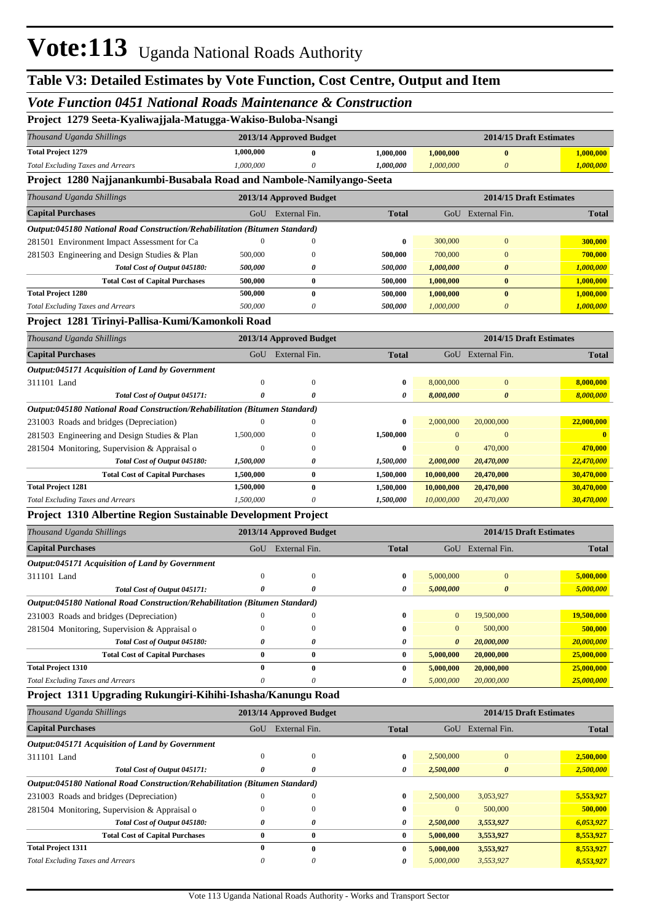#### *Vote Function 0451 National Roads Maintenance & Construction*

|  | Project 1279 Seeta-Kyaliwajjala-Matugga-Wakiso-Buloba-Nsangi |  |
|--|--------------------------------------------------------------|--|
|--|--------------------------------------------------------------|--|

| Thousand Uganda Shillings                                                  |                       | 2013/14 Approved Budget |              |                       | 2014/15 Draft Estimates |                   |
|----------------------------------------------------------------------------|-----------------------|-------------------------|--------------|-----------------------|-------------------------|-------------------|
| <b>Total Project 1279</b>                                                  | 1,000,000             | $\bf{0}$                | 1,000,000    | 1,000,000             | $\bf{0}$                | 1,000,000         |
| <b>Total Excluding Taxes and Arrears</b>                                   | 1,000,000             | 0                       | 1,000,000    | 1,000,000             | $\boldsymbol{\theta}$   | 1,000,000         |
| Project 1280 Najjanankumbi-Busabala Road and Nambole-Namilyango-Seeta      |                       |                         |              |                       |                         |                   |
| Thousand Uganda Shillings                                                  |                       | 2013/14 Approved Budget |              |                       | 2014/15 Draft Estimates |                   |
| <b>Capital Purchases</b>                                                   | GoU                   | External Fin.           | <b>Total</b> |                       | GoU External Fin.       | Total             |
| Output:045180 National Road Construction/Rehabilitation (Bitumen Standard) |                       |                         |              |                       |                         |                   |
| 281501 Environment Impact Assessment for Ca                                | $\theta$              | 0                       | 0            | 300,000               | $\boldsymbol{0}$        | 300,000           |
| 281503 Engineering and Design Studies & Plan                               | 500,000               | $\boldsymbol{0}$        | 500,000      | 700,000               | $\mathbf{0}$            | 700,000           |
| Total Cost of Output 045180:                                               | 500,000               | 0                       | 500,000      | 1,000,000             | 0                       | 1,000,000         |
| <b>Total Cost of Capital Purchases</b>                                     | 500,000               | $\bf{0}$                | 500,000      | 1,000,000             | $\bf{0}$                | 1,000,000         |
| <b>Total Project 1280</b>                                                  | 500,000               | $\bf{0}$                | 500,000      | 1,000,000             | $\bf{0}$                | 1,000,000         |
| <b>Total Excluding Taxes and Arrears</b>                                   | 500,000               | 0                       | 500,000      | 1,000,000             | 0                       | <b>1,000,000</b>  |
| Project 1281 Tirinyi-Pallisa-Kumi/Kamonkoli Road                           |                       |                         |              |                       |                         |                   |
| Thousand Uganda Shillings                                                  |                       | 2013/14 Approved Budget |              |                       | 2014/15 Draft Estimates |                   |
| <b>Capital Purchases</b>                                                   | GoU                   | External Fin.           | <b>Total</b> |                       | GoU External Fin.       | <b>Total</b>      |
| Output:045171 Acquisition of Land by Government                            |                       |                         |              |                       |                         |                   |
| 311101 Land                                                                | $\boldsymbol{0}$      | $\boldsymbol{0}$        | $\bf{0}$     | 8,000,000             | $\mathbf{0}$            | 8,000,000         |
| Total Cost of Output 045171:                                               | $\boldsymbol{\theta}$ | 0                       | 0            | 8,000,000             | 0                       | 8,000,000         |
| Output:045180 National Road Construction/Rehabilitation (Bitumen Standard) |                       |                         |              |                       |                         |                   |
| 231003 Roads and bridges (Depreciation)                                    | $\mathbf{0}$          | 0                       | $\bf{0}$     | 2,000,000             | 20,000,000              | 22,000,000        |
| 281503 Engineering and Design Studies & Plan                               | 1,500,000             | 0                       | 1,500,000    | $\mathbf{0}$          | $\mathbf{0}$            |                   |
| 281504 Monitoring, Supervision & Appraisal o                               | $\boldsymbol{0}$      | 0                       | 0            | $\boldsymbol{0}$      | 470,000                 | 470,000           |
| Total Cost of Output 045180:                                               | 1,500,000             | 0                       | 1,500,000    | 2,000,000             | 20,470,000              | 22,470,000        |
| <b>Total Cost of Capital Purchases</b>                                     | 1,500,000             | $\bf{0}$                | 1,500,000    | 10,000,000            | 20,470,000              | 30,470,000        |
| <b>Total Project 1281</b>                                                  | 1,500,000             | $\bf{0}$                | 1,500,000    | 10,000,000            | 20,470,000              | 30,470,000        |
| <b>Total Excluding Taxes and Arrears</b>                                   | 1,500,000             | 0                       | 1,500,000    | 10,000,000            | 20,470,000              | 30,470,000        |
| Project 1310 Albertine Region Sustainable Development Project              |                       |                         |              |                       |                         |                   |
| Thousand Uganda Shillings                                                  |                       | 2013/14 Approved Budget |              |                       | 2014/15 Draft Estimates |                   |
| <b>Capital Purchases</b>                                                   | GoU                   | External Fin.           | <b>Total</b> |                       | GoU External Fin.       | <b>Total</b>      |
| Output:045171 Acquisition of Land by Government                            |                       |                         |              |                       |                         |                   |
| 311101 Land                                                                | $\mathbf{0}$          | $\mathbf{0}$            | $\bf{0}$     | 5,000,000             | $\boldsymbol{0}$        | 5,000,000         |
| Total Cost of Output 045171:                                               | 0                     | 0                       | 0            | 5,000,000             | $\boldsymbol{\theta}$   | 5,000,000         |
| Output:045180 National Road Construction/Rehabilitation (Bitumen Standard) |                       |                         |              |                       |                         |                   |
| 231003 Roads and bridges (Depreciation)                                    |                       | 0                       | 0            | $\boldsymbol{0}$      | 19,500,000              | 19,500,000        |
| 281504 Monitoring, Supervision & Appraisal o                               | $\mathbf{0}$          | $\boldsymbol{0}$        | $\bf{0}$     | $\boldsymbol{0}$      | 500,000                 | 500,000           |
| Total Cost of Output 045180:                                               | 0                     | $\pmb{\theta}$          | 0            | $\boldsymbol{\theta}$ | 20,000,000              | 20,000,000        |
| <b>Total Cost of Capital Purchases</b>                                     | $\bf{0}$              | $\bf{0}$                | 0            | 5,000,000             | 20,000,000              | 25,000,000        |
| <b>Total Project 1310</b>                                                  | $\bf{0}$              | $\bf{0}$                | $\bf{0}$     | 5,000,000             | 20,000,000              | 25,000,000        |
| <b>Total Excluding Taxes and Arrears</b>                                   | 0                     | 0                       | 0            | 5,000,000             | 20,000,000              | <b>25,000,000</b> |
| Project 1311 Upgrading Rukungiri-Kihihi-Ishasha/Kanungu Road               |                       |                         |              |                       |                         |                   |
| Thousand Uganda Shillings                                                  |                       | 2013/14 Approved Budget |              |                       | 2014/15 Draft Estimates |                   |
| <b>Capital Purchases</b>                                                   | GoU                   | External Fin.           | <b>Total</b> |                       | GoU External Fin.       | <b>Total</b>      |
| Output:045171 Acquisition of Land by Government                            |                       |                         |              |                       |                         |                   |
| 311101 Land                                                                | $\boldsymbol{0}$      | $\mathbf{0}$            | 0            | 2,500,000             | $\boldsymbol{0}$        | 2,500,000         |
| Total Cost of Output 045171:                                               | 0                     | 0                       | 0            | 2,500,000             | 0                       | 2,500,000         |
| Output:045180 National Road Construction/Rehabilitation (Bitumen Standard) |                       |                         |              |                       |                         |                   |
| 231003 Roads and bridges (Depreciation)                                    | $\theta$              | 0                       | 0            | 2,500,000             | 3,053,927               | 5,553,927         |
| 281504 Monitoring, Supervision & Appraisal o                               | $\mathbf{0}$          | $\boldsymbol{0}$        | $\bf{0}$     | $\boldsymbol{0}$      | 500,000                 | 500,000           |
| Total Cost of Output 045180:                                               | 0                     | 0                       | 0            | 2,500,000             | 3,553,927               | 6,053,927         |
| <b>Total Cost of Capital Purchases</b>                                     | $\boldsymbol{0}$      | $\pmb{0}$               | $\bf{0}$     | 5,000,000             | 3,553,927               | 8,553,927         |
| <b>Total Project 1311</b>                                                  | $\bf{0}$              | $\bf{0}$                | $\bf{0}$     | 5,000,000             | 3,553,927               | 8,553,927         |
| <b>Total Excluding Taxes and Arrears</b>                                   | 0                     | $\boldsymbol{\theta}$   | 0            | 5,000,000             | 3,553,927               | 8,553,927         |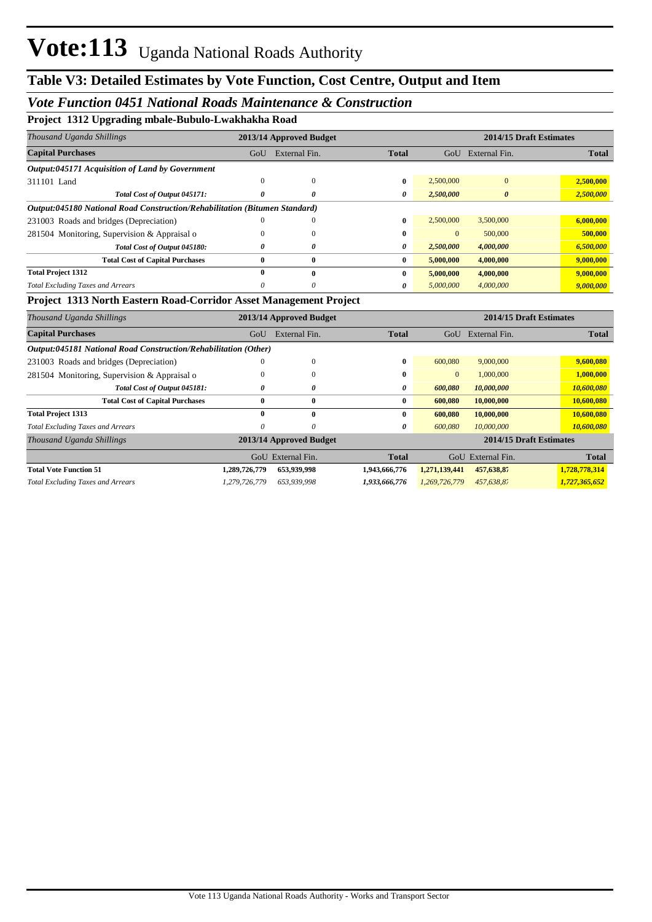#### *Vote Function 0451 National Roads Maintenance & Construction*

**Project 1312 Upgrading mbale-Bubulo-Lwakhakha Road**

| Thousand Uganda Shillings                                                  |     | 2013/14 Approved Budget |              |              | 2014/15 Draft Estimates |              |
|----------------------------------------------------------------------------|-----|-------------------------|--------------|--------------|-------------------------|--------------|
| <b>Capital Purchases</b>                                                   | GoU | External Fin.           | <b>Total</b> | GoU          | External Fin.           | <b>Total</b> |
| <b>Output:045171 Acquisition of Land by Government</b>                     |     |                         |              |              |                         |              |
| 311101 Land                                                                | 0   | 0                       | 0            | 2,500,000    | $\overline{0}$          | 2,500,000    |
| Total Cost of Output 045171:                                               |     | 0                       | 0            | 2,500,000    | $\boldsymbol{\theta}$   | 2,500,000    |
| Output:045180 National Road Construction/Rehabilitation (Bitumen Standard) |     |                         |              |              |                         |              |
| 231003 Roads and bridges (Depreciation)                                    | 0   | 0                       | 0            | 2,500,000    | 3,500,000               | 6,000,000    |
| 281504 Monitoring, Supervision & Appraisal o                               | 0   | 0                       | 0            | $\mathbf{0}$ | 500,000                 | 500,000      |
| Total Cost of Output 045180:                                               | 0   | 0                       | 0            | 2,500,000    | 4,000,000               | 6,500,000    |
| <b>Total Cost of Capital Purchases</b>                                     | 0   | $\bf{0}$                | $\bf{0}$     | 5,000,000    | 4,000,000               | 9,000,000    |
| <b>Total Project 1312</b>                                                  | 0   | $\mathbf{0}$            | 0            | 5,000,000    | 4,000,000               | 9,000,000    |
| <b>Total Excluding Taxes and Arrears</b>                                   |     | 0                       | 0            | 5,000,000    | 4,000,000               | 9,000,000    |

#### **Project 1313 North Eastern Road-Corridor Asset Management Project**

| Thousand Uganda Shillings                                       |               | 2013/14 Approved Budget |               |                |                         | 2014/15 Draft Estimates |
|-----------------------------------------------------------------|---------------|-------------------------|---------------|----------------|-------------------------|-------------------------|
| <b>Capital Purchases</b>                                        | GoU           | External Fin.           | <b>Total</b>  | GoU            | External Fin.           | <b>Total</b>            |
| Output:045181 National Road Construction/Rehabilitation (Other) |               |                         |               |                |                         |                         |
| 231003 Roads and bridges (Depreciation)                         | $\Omega$      | $\mathbf{0}$            | 0             | 600,080        | 9,000,000               | 9,600,080               |
| 281504 Monitoring, Supervision & Appraisal o                    |               | $\theta$                | 0             | $\overline{0}$ | 1,000,000               | 1,000,000               |
| Total Cost of Output 045181:                                    | 0             | 0                       | 0             | 600,080        | 10,000,000              | 10,600,080              |
| <b>Total Cost of Capital Purchases</b>                          | $\bf{0}$      | $\bf{0}$                | $\bf{0}$      | 600.080        | 10,000,000              | 10,600,080              |
| <b>Total Project 1313</b>                                       | $\bf{0}$      | $\mathbf{0}$            | 0             | 600,080        | 10,000,000              | 10,600,080              |
| <b>Total Excluding Taxes and Arrears</b>                        | 0             | 0                       | 0             | 600,080        | 10,000,000              | 10,600,080              |
| Thousand Uganda Shillings                                       |               | 2013/14 Approved Budget |               |                | 2014/15 Draft Estimates |                         |
|                                                                 | GoU           | External Fin.           | <b>Total</b>  | GoU            | External Fin.           | <b>Total</b>            |
| <b>Total Vote Function 51</b>                                   | 1,289,726,779 | 653,939,998             | 1,943,666,776 | 1,271,139,441  | 457,638,87              | 1,728,778,314           |
| <b>Total Excluding Taxes and Arrears</b>                        | 1.279.726.779 | 653,939,998             | 1,933,666,776 | 1,269,726,779  | 457,638,87              | 1,727,365,652           |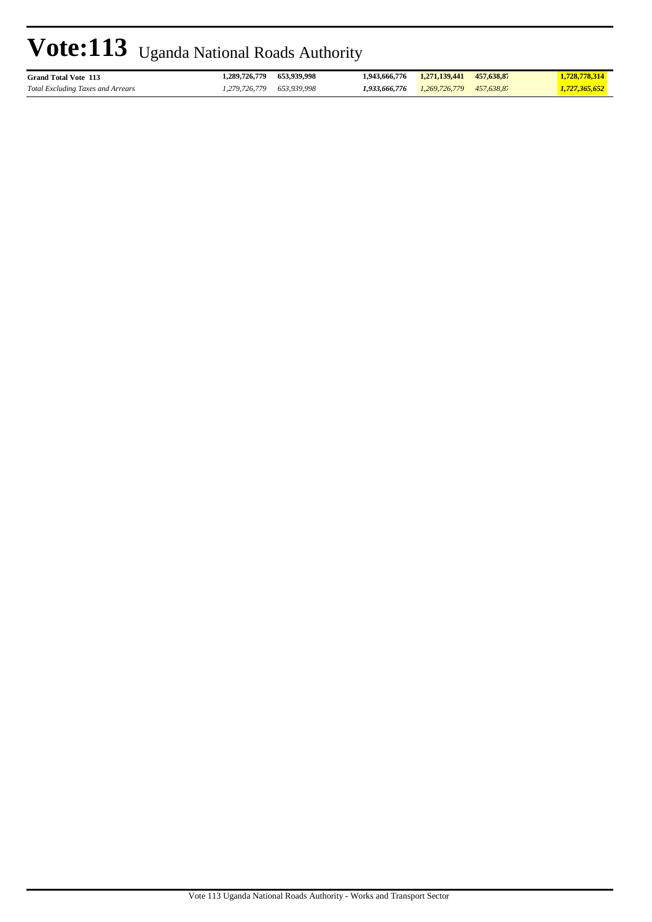| <b>Grand Total Vote 113</b>              | 1.289.726.779   | 653.939.998 | 1.943.666.776 | 1.271.139.441 | 457,638.87 | 1,728,778,314 |
|------------------------------------------|-----------------|-------------|---------------|---------------|------------|---------------|
| <b>Total Excluding Taxes and Arrears</b> | . . 279.726.779 | 653.939.998 | 1.933.666.776 | 1,269,726,779 | 457.638.87 | 1,727,365,652 |